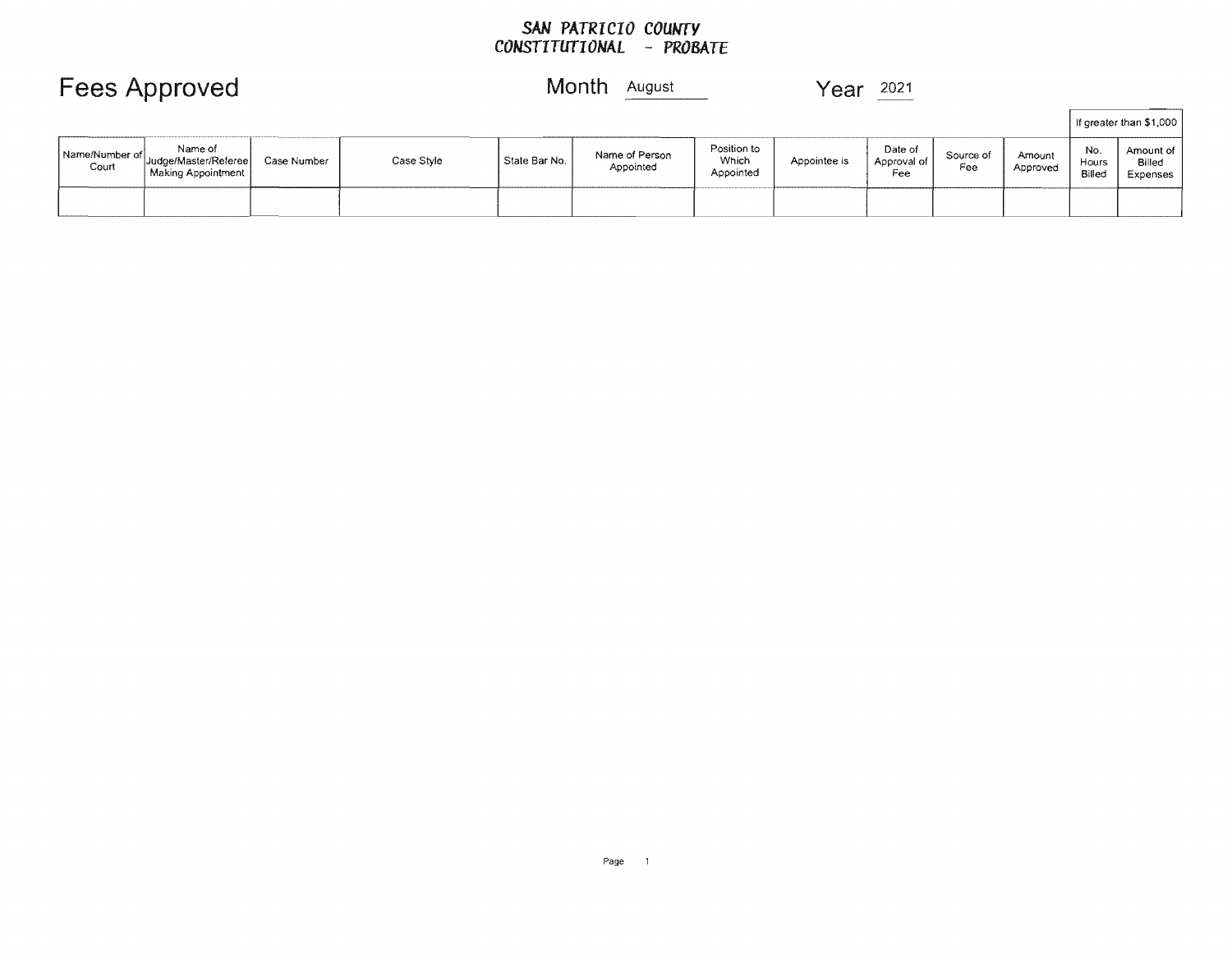### *SAN PATRICIO COUNTY CONSTITUTIONAL* - *PROBATE*

|                         |                                                                 |             |            |               |                             |                                   |              |                               |                  |                    |                        | If greater than \$1,000           |
|-------------------------|-----------------------------------------------------------------|-------------|------------|---------------|-----------------------------|-----------------------------------|--------------|-------------------------------|------------------|--------------------|------------------------|-----------------------------------|
| Name/Number of<br>Court | Name of<br>" Judge/Master/Referee <br><b>Making Appointment</b> | Case Number | Case Style | State Bar No. | Name of Person<br>Appointed | Position to<br>Which<br>Appointed | Appointee is | Date of<br>Approval of<br>Fee | Source of<br>Fee | Amount<br>Approved | No.<br>Hours<br>Billeo | Amount of  <br>Billed<br>Expenses |
|                         |                                                                 |             |            |               |                             |                                   |              |                               |                  |                    |                        |                                   |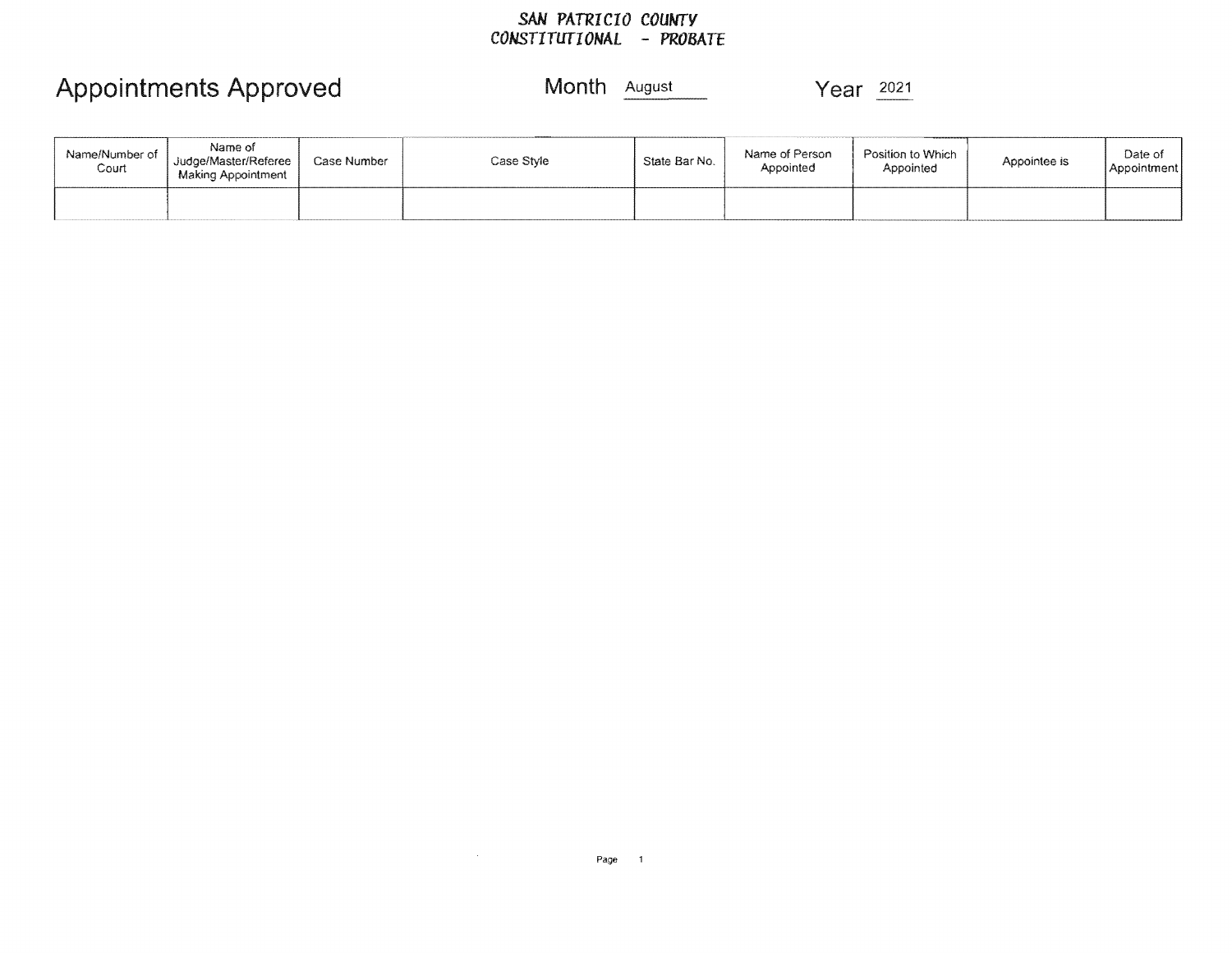#### *SAN PATRICIO COUNTY CONSTITUTIONAL* **-** *PROBATE*

# Appointments Approved Month **August** Year 2021

| Name/Number of<br>Court | Name of<br>Judge/Master/Referee<br>Making Appointment | Case Number | Case Style | State Bar No. | Name of Person<br>Appointed | Position to Which<br>Appointed | Appointee is | Date of<br>Appointment |
|-------------------------|-------------------------------------------------------|-------------|------------|---------------|-----------------------------|--------------------------------|--------------|------------------------|
|                         |                                                       |             |            |               |                             |                                |              |                        |

 $\sim 10^6$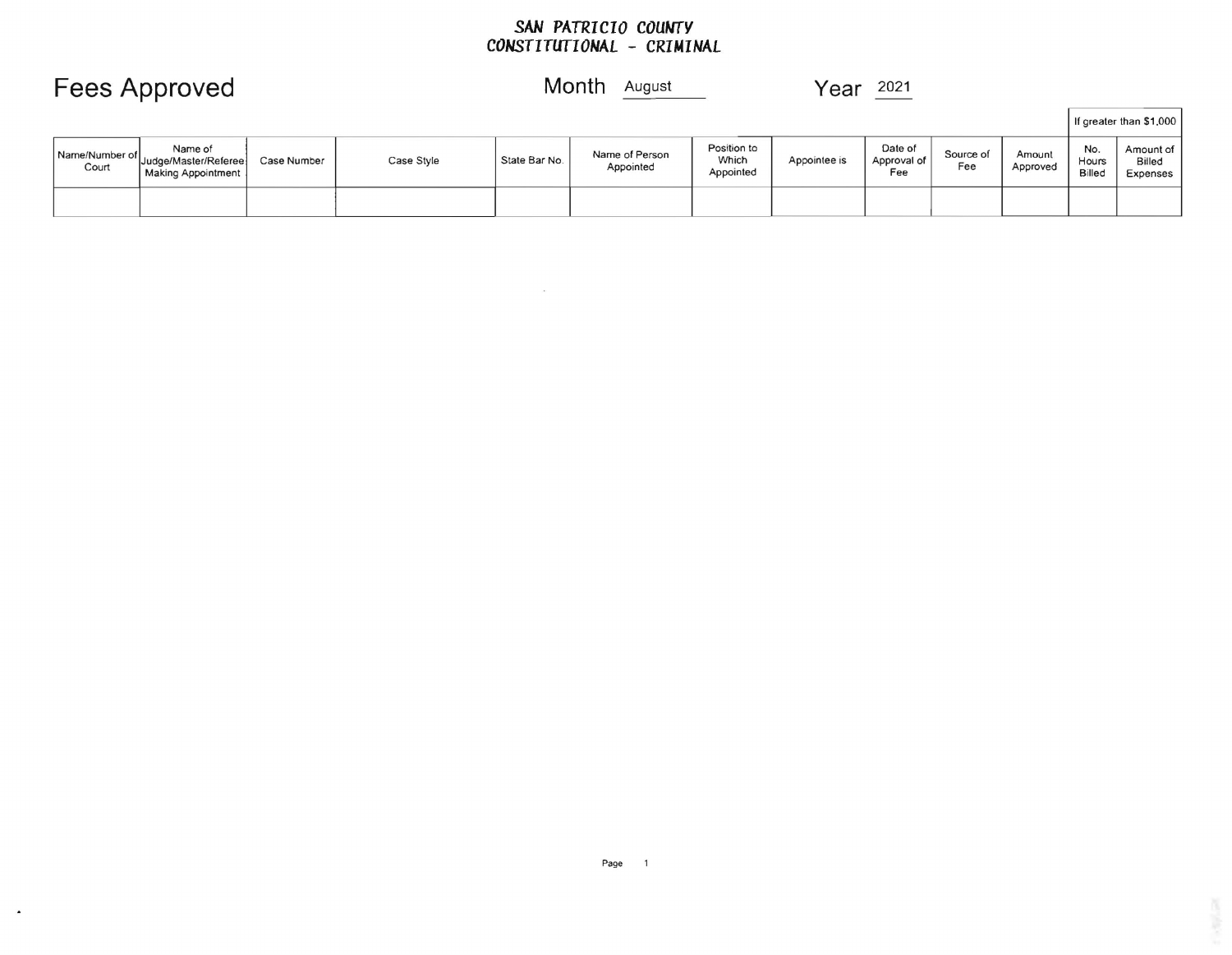### *SAN PATRICIO COUNTY CONSTITUTIONAL* **-** *CRIMINAL*

|                         |                                                         |             |            |               |                             |                                   |              |                               |                  |                    |                               | If greater than \$1,000                |
|-------------------------|---------------------------------------------------------|-------------|------------|---------------|-----------------------------|-----------------------------------|--------------|-------------------------------|------------------|--------------------|-------------------------------|----------------------------------------|
| Name/Number of<br>Court | Name of<br>" Judge/Master/Referee<br>Making Appointment | Case Number | Case Style | State Bar No. | Name of Person<br>Appointed | Position to<br>Which<br>Appointed | Appointee is | Date of<br>Approval of<br>Fee | Source of<br>Fee | Amount<br>Approved | No.<br>Hours<br><b>Billed</b> | Amount of<br><b>Billed</b><br>Expenses |
|                         |                                                         |             |            |               |                             |                                   |              |                               |                  |                    |                               |                                        |

# Fees Approved Month August Year 2021

 $\Delta$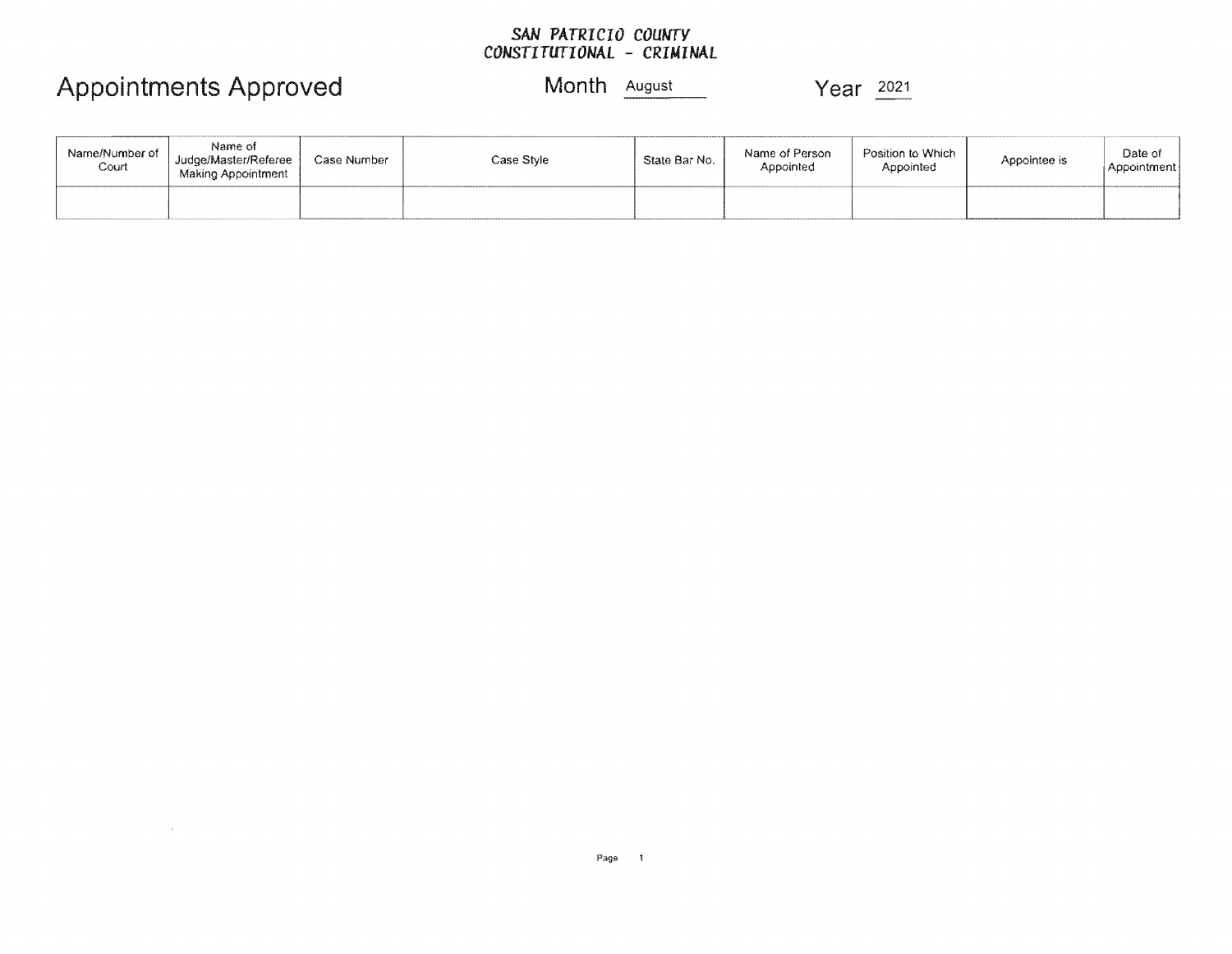#### *SAN CONSTITUTIONAL*

# Appointments Approved Month **August** 2021

 $\sim 100$ 

| Name/Number of<br>Court | Name of<br>Judge/Master/Referee<br>Making Appointment | Case Number | Case Style | State Bar No. | Name of Person<br>Appointed | Position to Which<br>Appointed | Appointee is | Date of<br>Appointment |
|-------------------------|-------------------------------------------------------|-------------|------------|---------------|-----------------------------|--------------------------------|--------------|------------------------|
|                         |                                                       |             |            |               |                             |                                |              |                        |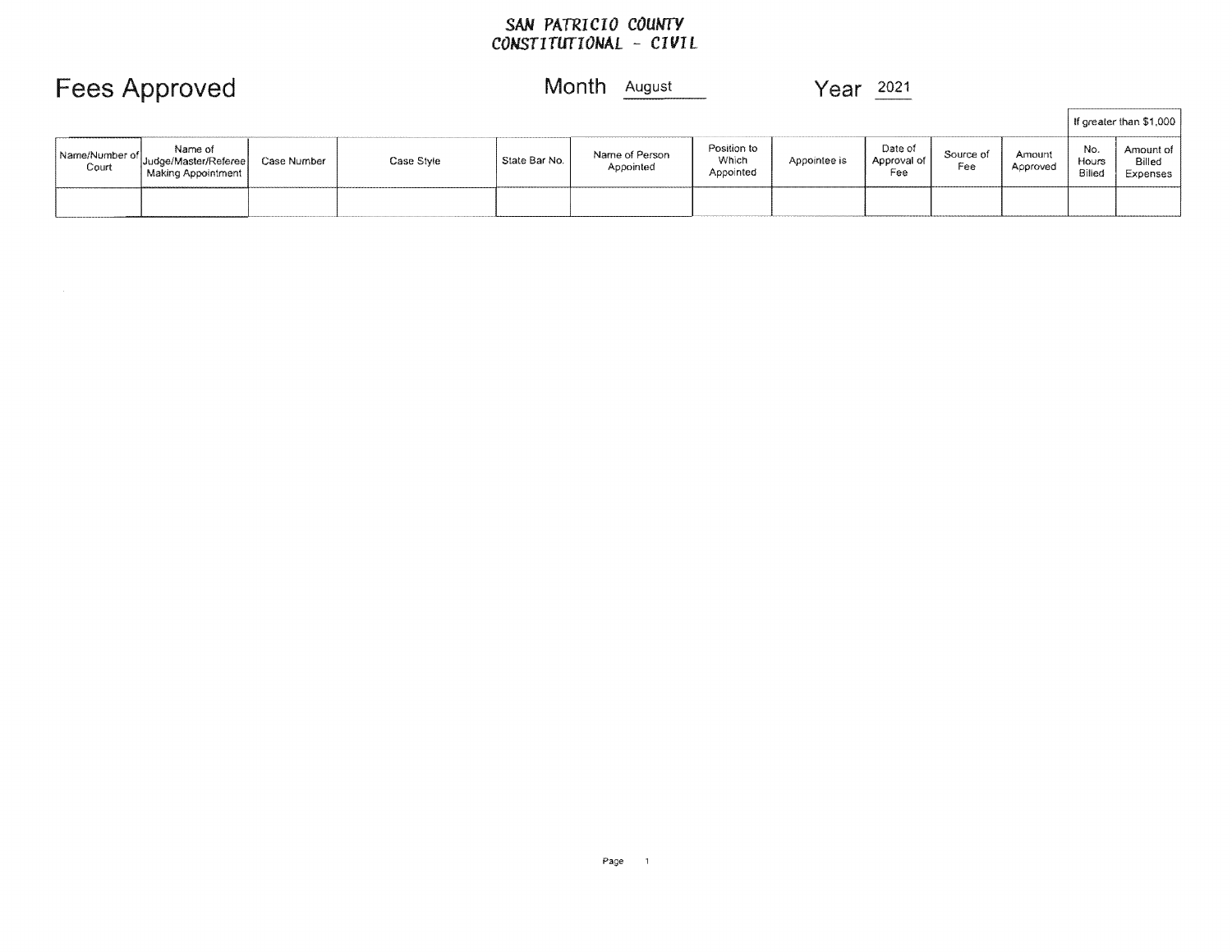### SAN *PATRICIO COUNTY CONSTITUTIONAL* - *CIVIL*

# Fees Approved Month August 2021

|                         |                                                       |             |            |               |                             |                                   |              |                               |                  |                    |                        | If greater than \$1,000         |
|-------------------------|-------------------------------------------------------|-------------|------------|---------------|-----------------------------|-----------------------------------|--------------|-------------------------------|------------------|--------------------|------------------------|---------------------------------|
| Name/Number of<br>Court | Name of<br>Judge/Master/Referee<br>Making Appointment | Case Number | Case Style | State Bar No. | Name of Person<br>Appointed | Position to<br>Which<br>Appointed | Appointee is | Date of<br>Approval of<br>Fee | Source of<br>Fee | Amount<br>Approved | No.<br>Hours<br>Billed | Amount of<br>Billed<br>Expenses |
|                         |                                                       |             |            |               |                             |                                   |              |                               |                  |                    |                        |                                 |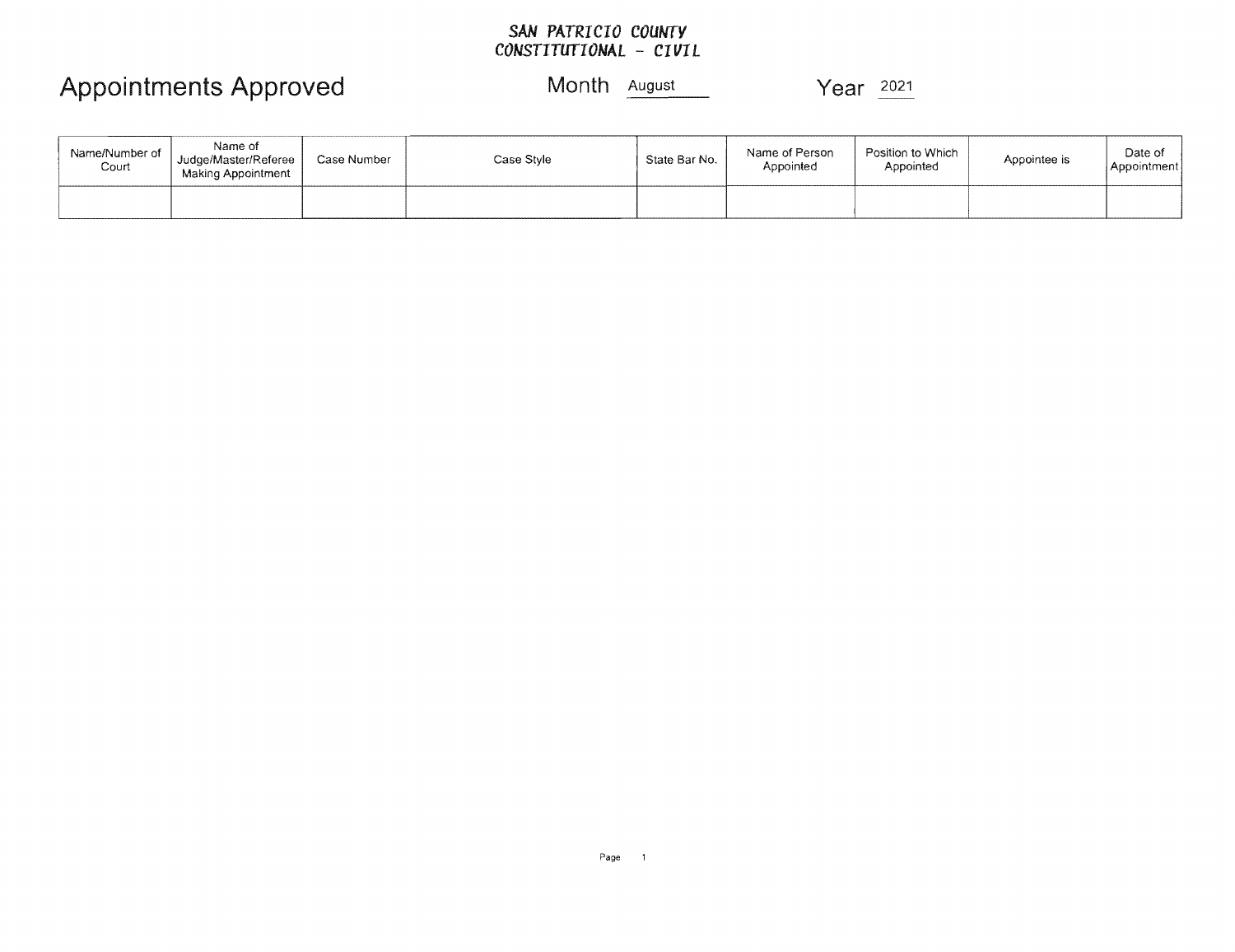### *SAN PATRICIO COUNTY CONSTITUTIONAL* - *CIVIL*

## Appointments Approved Month **August** Year 2021

| Name/Number of<br>Court | Name of<br>Judge/Master/Referee<br>Making Appointment | Case Number | Case Style | State Bar No. | Name of Person<br>Appointed | Position to Which<br>Appointed | Appointee is | Date of<br>Appointment i |
|-------------------------|-------------------------------------------------------|-------------|------------|---------------|-----------------------------|--------------------------------|--------------|--------------------------|
|                         |                                                       |             |            |               |                             |                                |              |                          |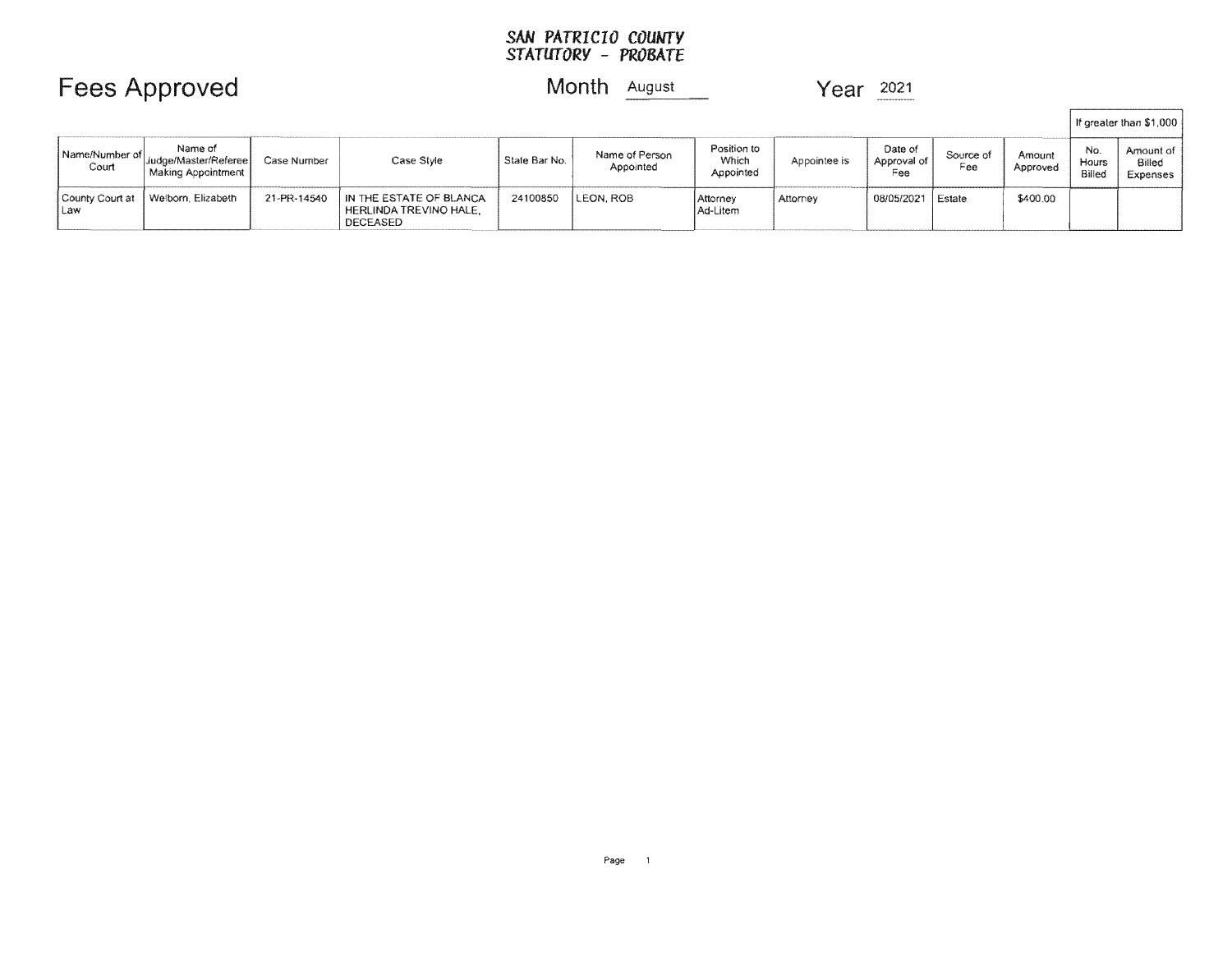#### **SAN** *PATRICIO STATUTORY* **-** *PROBATE*

|                         |                                                          |             |                                                               |               |                             |                                   |              |                               |                  |                    |                        | If greater than \$1,000           |
|-------------------------|----------------------------------------------------------|-------------|---------------------------------------------------------------|---------------|-----------------------------|-----------------------------------|--------------|-------------------------------|------------------|--------------------|------------------------|-----------------------------------|
| Name/Number of<br>Court | Name of<br>' Judge/Master/Referee <br>Making Appointment | Case Number | Case Style                                                    | State Bar No. | Name of Person<br>Appointed | Position to<br>Which<br>Appointed | Appointee is | Date of<br>Approval of<br>Fee | Source of<br>Fee | Amount<br>Approved | No.<br>Hours<br>Billed | Amount of 1<br>Billed<br>Expenses |
| County Court at<br>1Law | l Welborn, Elizabeth                                     | 21-PR-14540 | IN THE ESTATE OF BLANCA<br>HERLINDA TREVINO HALE.<br>DECEASED | 24100850      | <b>LEON, ROB</b>            | l Attornev<br>Ad-Litem            | Attorney     | 08/05/2021 Estate             |                  | \$400.00           |                        |                                   |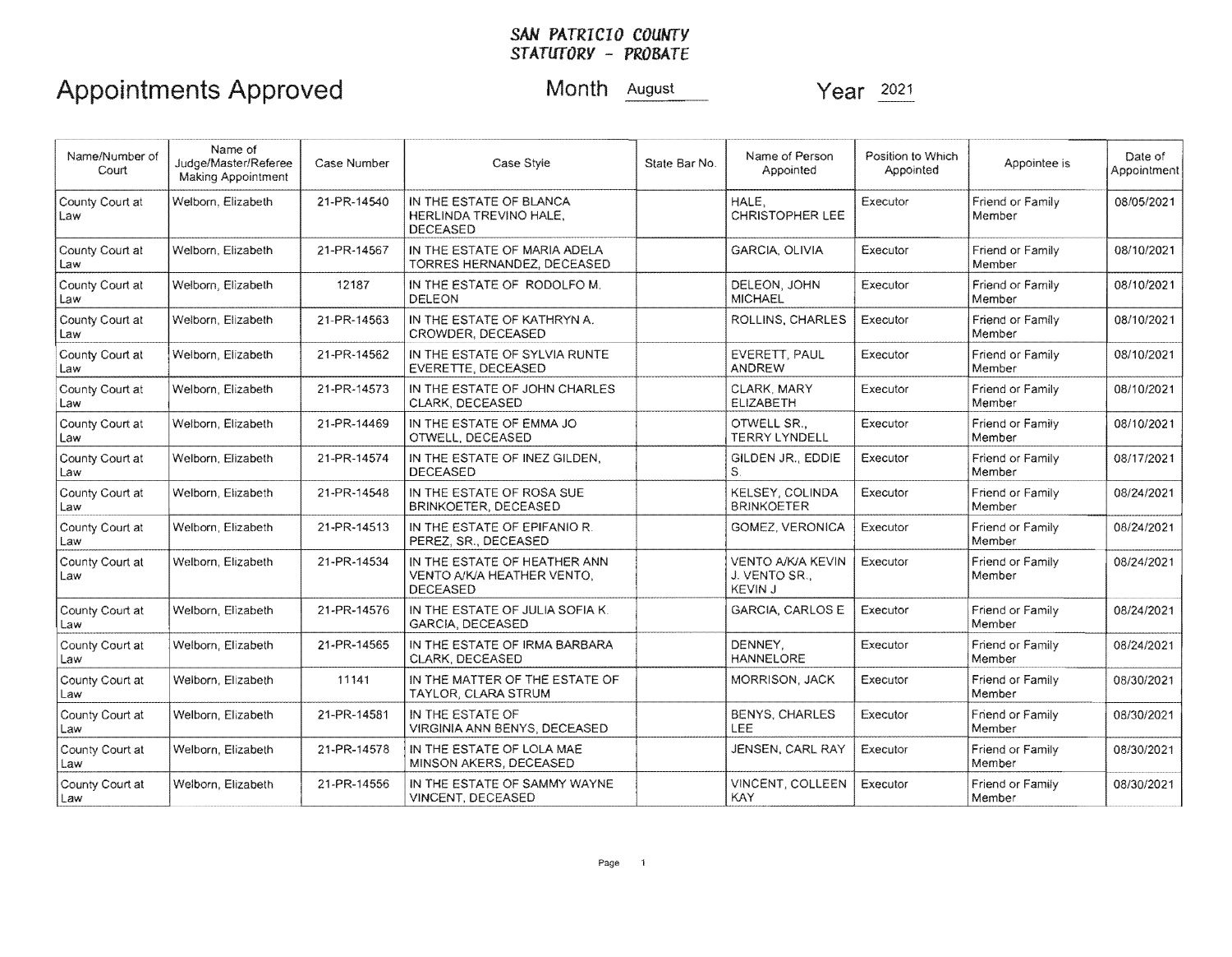# SAN PATRICIO COUNTY<br>STATUTORY - PROBATE

# Appointments Approved

Month August

Year 2021

| Name/Number of<br>Court  | Name of<br>Judge/Master/Referee<br><b>Making Appointment</b> | Case Number | Case Style                                                                    | State Bar No. | Name of Person<br>Appointed                                 | Position to Which<br>Appointed | Appointee is               | Date of<br>Appointment |
|--------------------------|--------------------------------------------------------------|-------------|-------------------------------------------------------------------------------|---------------|-------------------------------------------------------------|--------------------------------|----------------------------|------------------------|
| County Court at<br>Law   | Welborn, Elizabeth                                           | 21-PR-14540 | IN THE ESTATE OF BLANCA<br>HERLINDA TREVINO HALE,<br><b>DECEASED</b>          |               | HALE,<br><b>CHRISTOPHER LEE</b>                             | Executor                       | Friend or Family<br>Member | 08/05/2021             |
| County Court at<br>Law   | Welborn. Elizabeth                                           | 21-PR-14567 | IN THE ESTATE OF MARIA ADELA<br>TORRES HERNANDEZ, DECEASED                    |               | <b>GARCIA, OLIVIA</b>                                       | Executor                       | Friend or Family<br>Member | 08/10/2021             |
| County Court at<br>Law   | Welborn, Elizabeth                                           | 12187       | IN THE ESTATE OF RODOLFO M.<br><b>DELEON</b>                                  |               | DELEON, JOHN<br><b>MICHAEL</b>                              | Executor                       | Friend or Family<br>Member | 08/10/2021             |
| County Court at<br>Law   | Welborn, Elizabeth                                           | 21-PR-14563 | IN THE ESTATE OF KATHRYN A.<br>CROWDER, DECEASED                              |               | ROLLINS, CHARLES                                            | Executor                       | Friend or Family<br>Member | 08/10/2021             |
| County Court at<br>Law   | Welborn, Elizabeth                                           | 21-PR-14562 | IN THE ESTATE OF SYLVIA RUNTE<br>EVERETTE, DECEASED                           |               | EVERETT, PAUL<br><b>ANDREW</b>                              | Executor                       | Friend or Family<br>Member | 08/10/2021             |
| County Court at<br>Law   | Welborn, Elizabeth                                           | 21-PR-14573 | IN THE ESTATE OF JOHN CHARLES<br>CLARK, DECEASED                              |               | CLARK, MARY<br>ELIZABETH                                    | Executor                       | Friend or Family<br>Member | 08/10/2021             |
| County Court at<br>Law   | Welborn, Elizabeth                                           | 21-PR-14469 | IN THE ESTATE OF EMMA JO<br>OTWELL, DECEASED                                  |               | OTWELL SR.,<br><b>TERRY LYNDELL</b>                         | Executor                       | Friend or Family<br>Member | 08/10/2021             |
| County Court at<br>Law   | Welborn, Elizabeth                                           | 21-PR-14574 | IN THE ESTATE OF INEZ GILDEN.<br>DECEASED                                     |               | GILDEN JR., EDDIE<br>S.                                     | Executor                       | Friend or Family<br>Member | 08/17/2021             |
| County Court at<br>Law   | Welborn, Elizabeth                                           | 21-PR-14548 | IN THE ESTATE OF ROSA SUE<br>BRINKOETER, DECEASED                             |               | <b>KELSEY, COLINDA</b><br><b>BRINKOETER</b>                 | Executor                       | Friend or Family<br>Member | 08/24/2021             |
| County Court at<br>Law   | Welborn, Elizabeth                                           | 21-PR-14513 | IN THE ESTATE OF EPIFANIO R.<br>PEREZ, SR., DECEASED                          |               | <b>GOMEZ, VERONICA</b>                                      | Executor                       | Friend or Family<br>Member | 08/24/2021             |
| County Court at<br>l Law | Welborn, Elizabeth                                           | 21-PR-14534 | IN THE ESTATE OF HEATHER ANN<br>VENTO A/K/A HEATHER VENTO,<br><b>DECEASED</b> |               | <b>VENTO A/K/A KEVIN</b><br>J. VENTO SR.,<br><b>KEVIN J</b> | Executor                       | Friend or Family<br>Member | 08/24/2021             |
| County Court at<br>l Law | Welborn, Elizabeth                                           | 21-PR-14576 | IN THE ESTATE OF JULIA SOFIA K.<br>GARCIA, DECEASED                           |               | <b>GARCIA, CARLOS E</b>                                     | Executor                       | Friend or Family<br>Member | 08/24/2021             |
| County Court at<br>Law   | Welborn, Elizabeth                                           | 21-PR-14565 | IN THE ESTATE OF IRMA BARBARA<br>CLARK. DECEASED                              |               | DENNEY.<br><b>HANNELORE</b>                                 | Executor                       | Friend or Family<br>Member | 08/24/2021             |
| County Court at<br>Law   | Welborn, Elizabeth                                           | 11141       | IN THE MATTER OF THE ESTATE OF<br>TAYLOR, CLARA STRUM                         |               | MORRISON, JACK                                              | Executor                       | Friend or Family<br>Member | 08/30/2021             |
| County Court at<br>Law   | Welborn, Elizabeth                                           | 21-PR-14581 | IN THE ESTATE OF<br>VIRGINIA ANN BENYS, DECEASED                              |               | <b>BENYS, CHARLES</b><br>LEE                                | Executor                       | Friend or Family<br>Member | 08/30/2021             |
| County Court at<br>Law   | Welborn, Elizabeth                                           | 21-PR-14578 | IN THE ESTATE OF LOLA MAE<br>MINSON AKERS, DECEASED                           |               | JENSEN, CARL RAY                                            | Executor                       | Friend or Family<br>Member | 08/30/2021             |
| County Court at<br>Law   | Welborn, Elizabeth                                           | 21-PR-14556 | IN THE ESTATE OF SAMMY WAYNE<br>VINCENT, DECEASED                             |               | VINCENT, COLLEEN<br><b>KAY</b>                              | Executor                       | Friend or Family<br>Member | 08/30/2021             |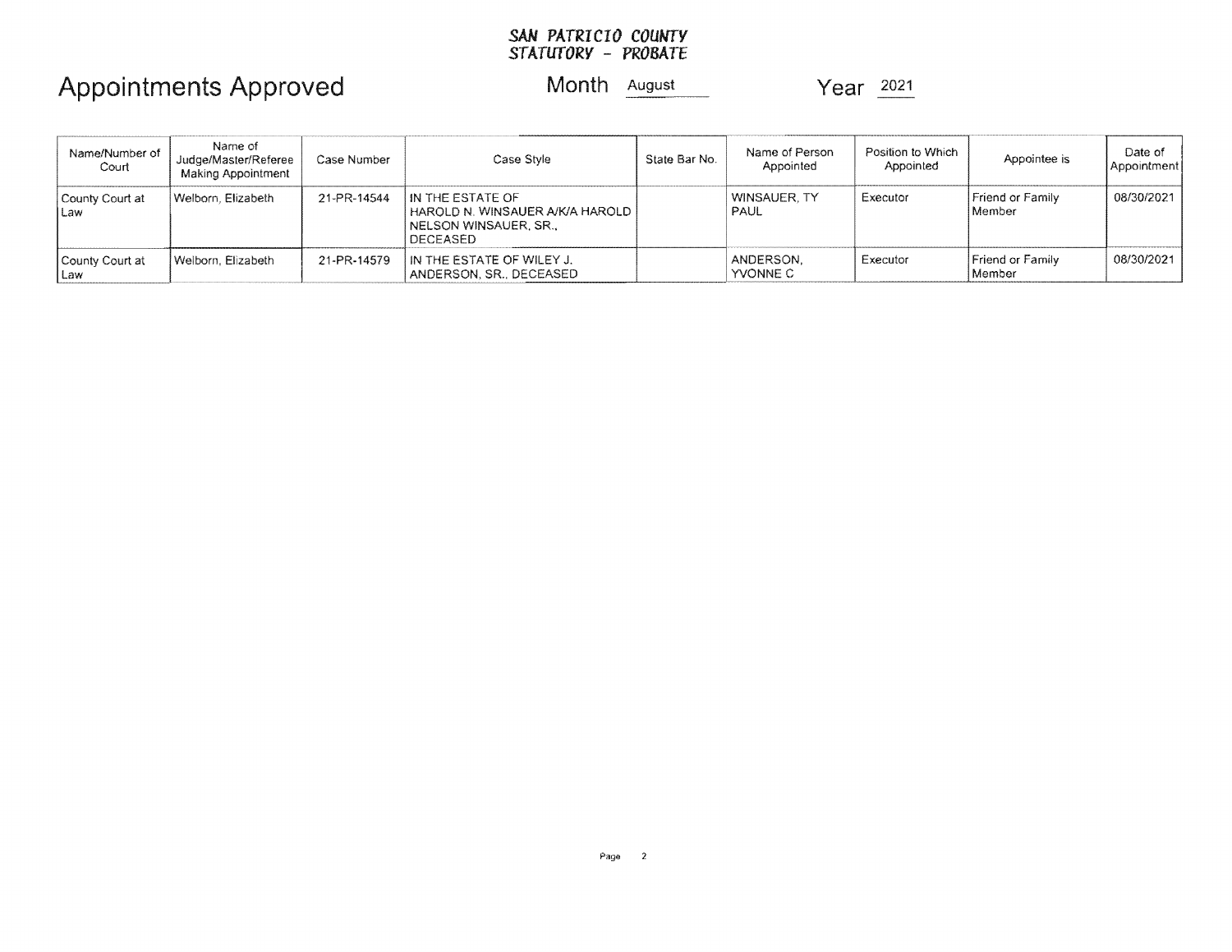#### SAN *PATRICIO STATUTORY* - *PROBATE*

## Appointments Approved Month August 2021

| Name/Number of<br>Court  | Name of<br>Judge/Master/Referee<br>Making Appointment | Case Number | Case Style                                                                                    | State Bar No. | Name of Person<br>Appointed | Position to Which<br>Appointed | Appointee is               | Date of<br>Appointment |
|--------------------------|-------------------------------------------------------|-------------|-----------------------------------------------------------------------------------------------|---------------|-----------------------------|--------------------------------|----------------------------|------------------------|
| County Court at<br>l Law | Welborn, Elizabeth                                    | 21-PR-14544 | IN THE ESTATE OF<br>I HAROLD N. WINSAUER A/K/A HAROLD.<br>I NELSON WINSAUER, SR.,<br>DECEASED |               | WINSAUER, TY<br><b>PAUL</b> | . Executor                     | Friend or Family<br>Member | 08/30/2021             |
| County Court at<br>I Law | Welborn, Elizabeth                                    | 21-PR-14579 | IN THE ESTATE OF WILEY J.<br>ANDERSON, SR., DECEASED                                          |               | ANDERSON.<br>YVONNE C       | Executor                       | Friend or Family<br>Member | 08/30/2021             |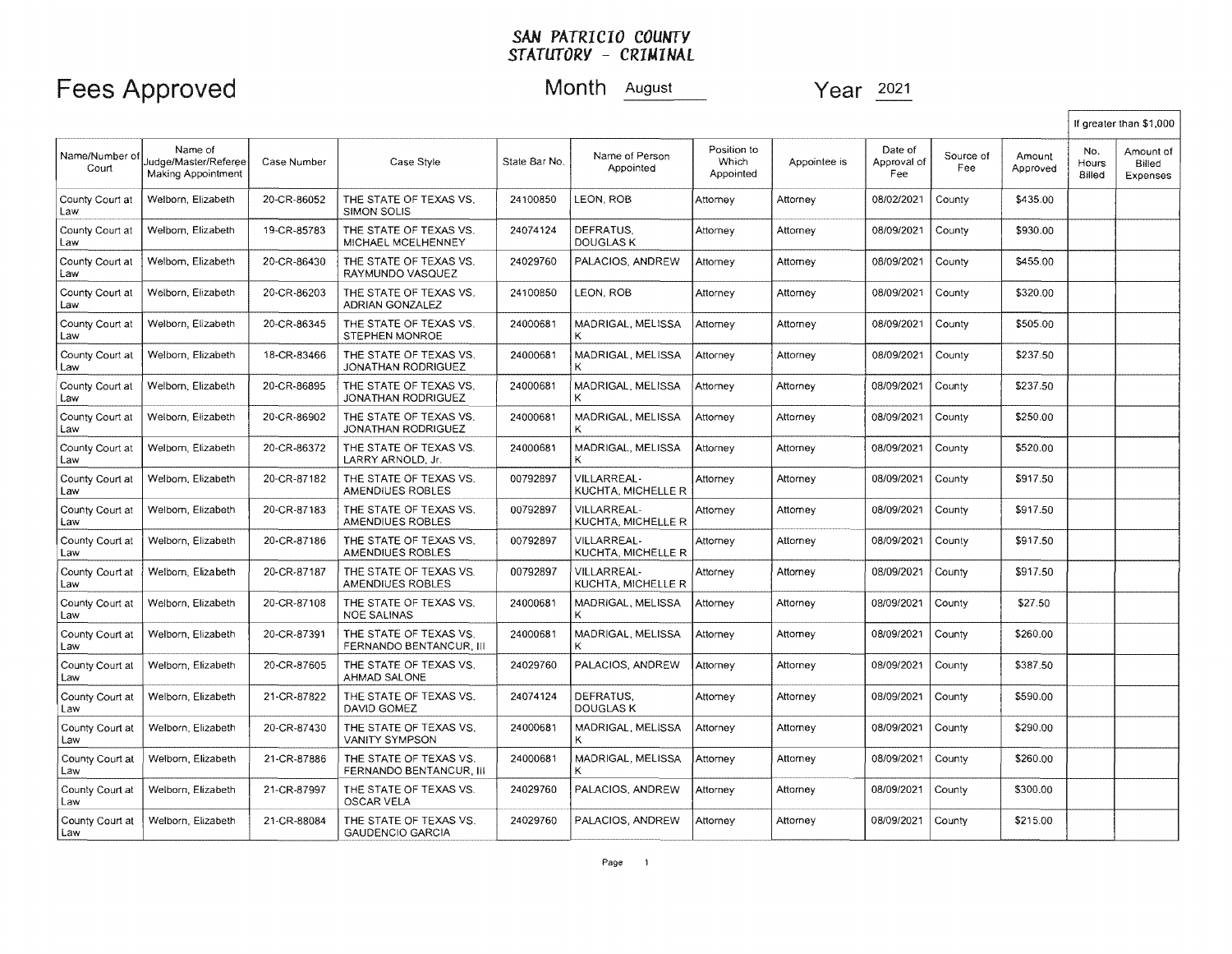|                         |                                                       |             |                                                   |               |                                    |                                   |              |                               |                  |                    |                               | If greater than \$1,000         |
|-------------------------|-------------------------------------------------------|-------------|---------------------------------------------------|---------------|------------------------------------|-----------------------------------|--------------|-------------------------------|------------------|--------------------|-------------------------------|---------------------------------|
| Name/Number of<br>Court | Name of<br>Judge/Master/Referee<br>Making Appointment | Case Number | Case Style                                        | State Bar No. | Name of Person<br>Appointed        | Position to<br>Which<br>Appointed | Appointee is | Date of<br>Approval of<br>Fee | Source of<br>Fee | Amount<br>Approved | No.<br>Hours<br><b>Billed</b> | Amount of<br>Billed<br>Expenses |
| County Court at<br>Law  | Welborn, Elizabeth                                    | 20-CR-86052 | THE STATE OF TEXAS VS.<br><b>SIMON SOLIS</b>      | 24100850      | LEON. ROB                          | Attomey                           | Attorney     | 08/02/2021                    | County           | \$435.00           |                               |                                 |
| County Court at<br>Law  | Welbom, Elizabeth                                     | 19-CR-85783 | THE STATE OF TEXAS VS.<br>MICHAEL MCELHENNEY      | 24074124      | DEFRATUS.<br><b>DOUGLAS K</b>      | Attomey                           | Attorney     | 08/09/2021                    | County           | \$930.00           |                               |                                 |
| County Court at<br>Law  | Welborn, Elizabeth                                    | 20-CR-86430 | THE STATE OF TEXAS VS.<br>RAYMUNDO VASQUEZ        | 24029760      | PALACIOS, ANDREW                   | Attomey                           | Attorney     | 08/09/2021                    | County           | \$455.00           |                               |                                 |
| County Court at<br>Law  | Welborn, Elizabeth                                    | 20-CR-86203 | THE STATE OF TEXAS VS.<br>ADRIAN GONZALEZ         | 24100850      | LEON. ROB                          | Attorney                          | Attorney     | 08/09/2021                    | County           | \$320.00           |                               |                                 |
| County Court at<br>Law  | Welborn, Elizabeth                                    | 20-CR-86345 | THE STATE OF TEXAS VS.<br>STEPHEN MONROE          | 24000681      | MADRIGAL, MELISSA<br>К             | Attorney                          | Attorney     | 08/09/2021                    | County           | \$505.00           |                               |                                 |
| County Court at<br>Law  | Welbom, Elizabeth                                     | 18-CR-83466 | THE STATE OF TEXAS VS.<br>JONATHAN RODRIGUEZ      | 24000681      | MADRIGAL, MELISSA<br>к             | Attorney                          | Attorney     | 08/09/2021                    | County           | \$237.50           |                               |                                 |
| County Court at<br>Law  | Welborn, Elizabeth                                    | 20-CR-86895 | THE STATE OF TEXAS VS.<br>JONATHAN RODRIGUEZ      | 24000681      | MADRIGAL, MELISSA                  | Attomey                           | Attorney     | 08/09/2021                    | County           | \$237.50           |                               |                                 |
| County Court at<br>Law  | Welborn, Elizabeth                                    | 20-CR-86902 | THE STATE OF TEXAS VS.<br>JONATHAN RODRIGUEZ      | 24000681      | MADRIGAL, MELISSA<br>к             | Attorney                          | Attorney     | 08/09/2021                    | County           | \$250.00           |                               |                                 |
| County Court at<br>Law  | Welborn, Elizabeth                                    | 20-CR-86372 | THE STATE OF TEXAS VS.<br>LARRY ARNOLD, Jr.       | 24000681      | MADRIGAL, MELISSA<br>ĸ             | Attorney                          | Attorney     | 08/09/2021                    | County           | \$520.00           |                               |                                 |
| County Court at<br>Law  | Welbom, Elizabeth                                     | 20-CR-87182 | THE STATE OF TEXAS VS.<br>AMENDIUES ROBLES        | 00792897      | VILLARREAL-<br>KUCHTA, MICHELLE R  | Attorney                          | Attorney     | 08/09/2021                    | County           | \$917.50           |                               |                                 |
| County Court at<br>Law  | Welbom, Elizabeth                                     | 20-CR-87183 | THE STATE OF TEXAS VS.<br>AMENDIUES ROBLES        | 00792897      | VILLARREAL-<br>KUCHTA, MICHELLE R  | Attornev                          | Attorney     | 08/09/2021                    | County           | \$917.50           |                               |                                 |
| County Court at<br>Law  | Welborn, Elizabeth                                    | 20-CR-87186 | THE STATE OF TEXAS VS.<br>AMENDIUES ROBLES        | 00792897      | VILLARREAL-<br>KUCHTA, MICHELLE R  | Attorney                          | Attorney     | 08/09/2021                    | County           | \$917.50           |                               |                                 |
| County Court at<br>Law  | Welborn, Elizabeth                                    | 20-CR-87187 | THE STATE OF TEXAS VS.<br>AMENDIUES ROBLES        | 00792897      | VII LARREAL-<br>KUCHTA, MICHELLE R | Attorney                          | Attorney     | 08/09/2021                    | County           | \$917.50           |                               |                                 |
| County Court at<br>Law  | Welborn, Elizabeth                                    | 20-CR-87108 | THE STATE OF TEXAS VS.<br><b>NOE SALINAS</b>      | 24000681      | MADRIGAL, MELISSA                  | Attorney                          | Attorney     | 08/09/2021                    | County           | \$27.50            |                               |                                 |
| County Court at<br>Law  | Welborn, Elizabeth                                    | 20-CR-87391 | THE STATE OF TEXAS VS.<br>FERNANDO BENTANCUR, III | 24000681      | MADRIGAL, MELISSA<br>κ             | Attorney                          | Attorney     | 08/09/2021                    | County           | \$260.00           |                               |                                 |
| County Court at<br>Law  | Welborn, Elizabeth                                    | 20-CR-87605 | THE STATE OF TEXAS VS.<br>AHMAD SALONE            | 24029760      | PALACIOS, ANDREW                   | Attorney                          | Attorney     | 08/09/2021                    | County           | \$387.50           |                               |                                 |
| County Court at<br>Law  | Welborn, Elizabeth                                    | 21-CR-87822 | THE STATE OF TEXAS VS.<br>DAVID GOMEZ             | 24074124      | DEFRATUS.<br><b>DOUGLAS K</b>      | Attorney                          | Attorney     | 08/09/2021                    | County           | \$590.00           |                               |                                 |
| County Court at<br>Law  | Welborn, Elizabeth                                    | 20-CR-87430 | THE STATE OF TEXAS VS.<br>VANITY SYMPSON          | 24000681      | MADRIGAL, MELISSA<br>κ             | Attorney                          | Attorney     | 08/09/2021                    | County           | \$290.00           |                               |                                 |
| County Court at<br>Law  | Welborn, Elizabeth                                    | 21-CR-87886 | THE STATE OF TEXAS VS.<br>FERNANDO BENTANCUR, III | 24000681      | MADRIGAL, MELISSA                  | Attorney                          | Attorney     | 08/09/2021                    | County           | \$260.00           |                               |                                 |
| County Court at<br>Law  | Welborn, Elizabeth                                    | 21-CR-87997 | THE STATE OF TEXAS VS.<br>OSCAR VELA              | 24029760      | PALACIOS, ANDREW                   | Attorney                          | Attorney     | 08/09/2021                    | County           | \$300.00           |                               |                                 |
| County Court at<br>Law  | Welborn, Elizabeth                                    | 21-CR-88084 | THE STATE OF TEXAS VS.<br><b>GAUDENCIO GARCIA</b> | 24029760      | PALACIOS, ANDREW                   | Attorney                          | Attorney     | 08/09/2021                    | County           | \$215.00           |                               |                                 |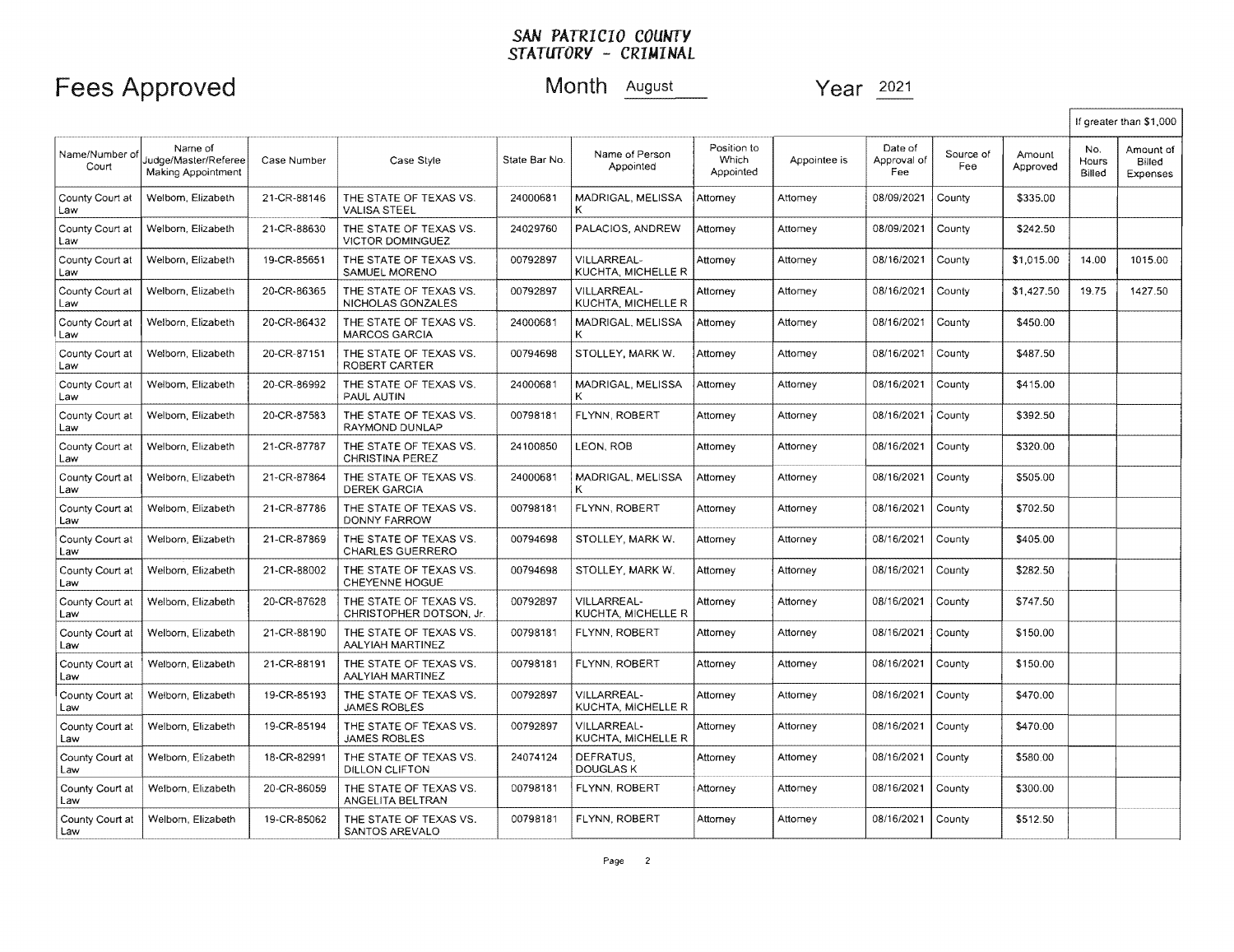|                        |                                                       |             |                                                   |               |                                   |                                   |              |                               |                  |                    |                        | If greater than \$1,000         |
|------------------------|-------------------------------------------------------|-------------|---------------------------------------------------|---------------|-----------------------------------|-----------------------------------|--------------|-------------------------------|------------------|--------------------|------------------------|---------------------------------|
| Name/Number o<br>Court | Name of<br>Judge/Master/Referee<br>Making Appointment | Case Number | Case Style                                        | State Bar No. | Name of Person<br>Appointed       | Position to<br>Which<br>Appointed | Appointee is | Date of<br>Approval of<br>Fee | Source of<br>Fee | Amount<br>Approved | No.<br>Hours<br>Billed | Amount of<br>Billed<br>Expenses |
| County Court at<br>Law | Welborn, Elizabeth                                    | 21-CR-88146 | THE STATE OF TEXAS VS.<br><b>VALISA STEEL</b>     | 24000681      | <b>MADRIGAL, MELISSA</b><br>к     | Attorney                          | Attorney     | 08/09/2021                    | County           | \$335.00           |                        |                                 |
| County Court at<br>Law | Welborn, Elizabeth                                    | 21-CR-88630 | THE STATE OF TEXAS VS.<br><b>VICTOR DOMINGUEZ</b> | 24029760      | PALACIOS, ANDREW                  | Attomev                           | Attorney     | 08/09/2021                    | County           | \$242.50           |                        |                                 |
| County Court at<br>Law | Welborn, Elizabeth                                    | 19-CR-85651 | THE STATE OF TEXAS VS.<br>SAMUEL MORENO           | 00792897      | VILLARREAL-<br>KUCHTA, MICHELLE R | Attomey                           | Attomey      | 08/16/2021                    | County           | \$1,015.00         | 14.00                  | 1015.00                         |
| County Court at<br>Law | Welborn, Elizabeth                                    | 20-CR-86365 | THE STATE OF TEXAS VS.<br>NICHOLAS GONZALES       | 00792897      | VILLARREAL-<br>KUCHTA, MICHELLE R | Attornev                          | Attorney     | 08/16/2021                    | County           | \$1,427.50         | 19.75                  | 1427.50                         |
| County Court at<br>Law | Welborn, Elizabeth                                    | 20-CR-86432 | THE STATE OF TEXAS VS.<br><b>MARCOS GARCIA</b>    | 24000681      | MADRIGAL, MELISSA<br>κ            | Attomey                           | Attomey      | 08/16/2021                    | County           | \$450.00           |                        |                                 |
| County Court at<br>Law | Welborn, Elizabeth                                    | 20-CR-87151 | THE STATE OF TEXAS VS.<br>ROBERT CARTER           | 00794698      | STOLLEY, MARK W.                  | Attorney                          | Attorney     | 08/16/2021                    | County           | \$487.50           |                        |                                 |
| County Court at<br>Law | Welbom, Elizabeth                                     | 20-CR-86992 | THE STATE OF TEXAS VS.<br>PAUL AUTIN              | 24000681      | MADRIGAL, MELISSA                 | Attorney                          | Attorney     | 08/16/2021                    | County           | \$415.00           |                        |                                 |
| County Court at<br>Law | Welbom, Elizabeth                                     | 20-CR-87583 | THE STATE OF TEXAS VS.<br>RAYMOND DUNLAP          | 00798181      | FLYNN, ROBERT                     | Attorney                          | Attorney     | 08/16/2021                    | County           | \$392.50           |                        |                                 |
| County Court at<br>Law | Welborn, Elizabeth                                    | 21-CR-87787 | THE STATE OF TEXAS VS.<br><b>CHRISTINA PEREZ</b>  | 24100850      | LEON, ROB                         | Attorney                          | Attorney     | 08/16/2021                    | County           | \$320.00           |                        |                                 |
| County Court at<br>Law | Welborn, Elizabeth                                    | 21-CR-87864 | THE STATE OF TEXAS VS.<br><b>DEREK GARCIA</b>     | 24000681      | MADRIGAL, MELISSA<br>к            | Attorney                          | Attorney     | 08/16/2021                    | County           | \$505.00           |                        |                                 |
| County Court at<br>Law | Welbom, Elizabeth                                     | 21-CR-87786 | THE STATE OF TEXAS VS.<br><b>DONNY FARROW</b>     | 00798181      | FLYNN, ROBERT                     | Attorney                          | Attorney     | 08/16/2021                    | County           | \$702.50           |                        |                                 |
| County Court at<br>Law | Welborn, Elizabeth                                    | 21-CR-87869 | THE STATE OF TEXAS VS.<br><b>CHARLES GUERRERO</b> | 00794698      | STOLLEY, MARK W.                  | Attorney                          | Attorney     | 08/16/2021                    | County           | \$405.00           |                        |                                 |
| County Court at<br>Law | Welborn, Elizabeth                                    | 21-CR-88002 | THE STATE OF TEXAS VS.<br>CHEYENNE HOGUE          | 00794698      | STOLLEY, MARK W.                  | Attorney                          | Attorney     | 08/16/2021                    | County           | \$282.50           |                        |                                 |
| County Court at<br>Law | Welbom, Elizabeth                                     | 20-CR-87628 | THE STATE OF TEXAS VS.<br>CHRISTOPHER DOTSON, Jr. | 00792897      | VILLARREAL-<br>KUCHTA, MICHELLE R | Attorney                          | Attorney     | 08/16/2021                    | County           | \$747.50           |                        |                                 |
| County Court at<br>Law | Welborn, Elizabeth                                    | 21-CR-88190 | THE STATE OF TEXAS VS.<br>AALYIAH MARTINEZ        | 00798181      | FLYNN, ROBERT                     | Attorney                          | Attorney     | 08/16/2021                    | County           | \$150.00           |                        |                                 |
| County Court at<br>Law | Welborn, Elizabeth                                    | 21-CR-88191 | THE STATE OF TEXAS VS.<br>AALYIAH MARTINEZ        | 00798181      | FLYNN, ROBERT                     | Attorney                          | Attomey      | 08/16/2021                    | County           | \$150.00           |                        |                                 |
| County Court at<br>Law | Welborn, Elizabeth                                    | 19-CR-85193 | THE STATE OF TEXAS VS.<br><b>JAMES ROBLES</b>     | 00792897      | VILLARREAL-<br>KUCHTA, MICHELLE R | Attorney                          | Attomey      | 08/16/2021                    | County           | \$470.00           |                        |                                 |
| County Court at<br>Law | Welborn, Elizabeth                                    | 19-CR-85194 | THE STATE OF TEXAS VS.<br><b>JAMES ROBLES</b>     | 00792897      | VILLARREAL-<br>KUCHTA, MICHELLE R | Attorney                          | Attorney     | 08/16/2021                    | County           | \$470.00           |                        |                                 |
| County Court at<br>Law | Welbom, Elizabeth                                     | 18-CR-82991 | THE STATE OF TEXAS VS.<br><b>DILLON CLIFTON</b>   | 24074124      | DEFRATUS.<br>DOUGLAS K            | Attorney                          | Attorney     | 08/16/2021                    | County           | \$580.00           |                        |                                 |
| County Court at<br>Law | Welborn, Elizabeth                                    | 20-CR-86059 | THE STATE OF TEXAS VS.<br>ANGELITA BELTRAN        | 00798181      | FLYNN, ROBERT                     | Attorney                          | Attomey      | 08/16/2021                    | County           | \$300.00           |                        |                                 |
| County Court at<br>Law | Welborn, Elizabeth                                    | 19-CR-85062 | THE STATE OF TEXAS VS.<br>SANTOS AREVALO          | 00798181      | <b>FLYNN, ROBERT</b>              | Attorney                          | Attomey      | 08/16/2021                    | County           | \$512.50           |                        |                                 |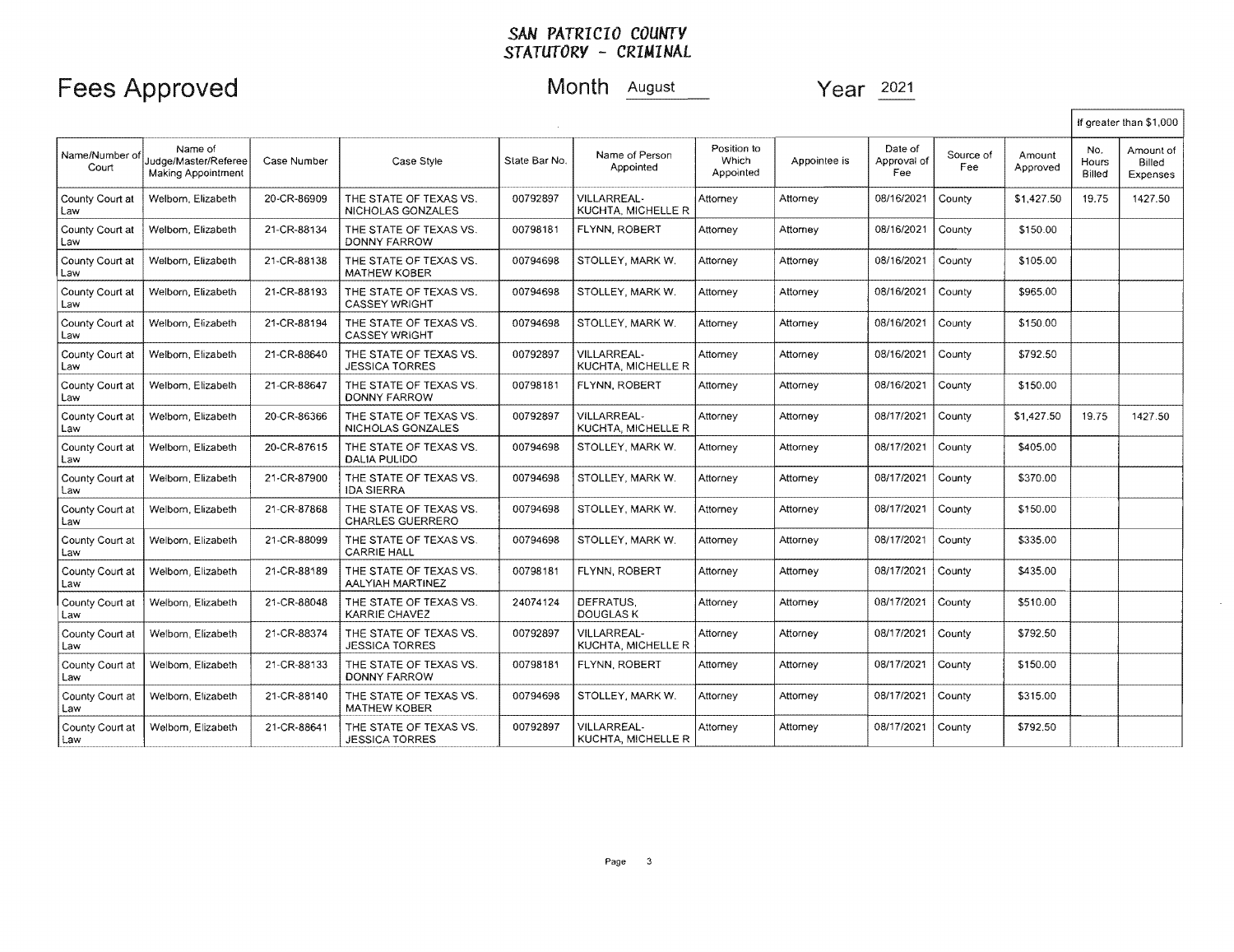|                         |                                                              |             |                                                   |               |                                          |                                   |              |                               |                  |                    |                        | If oreater than \$1,000         |
|-------------------------|--------------------------------------------------------------|-------------|---------------------------------------------------|---------------|------------------------------------------|-----------------------------------|--------------|-------------------------------|------------------|--------------------|------------------------|---------------------------------|
| Name/Number of<br>Court | Name of<br>Judge/Master/Referee<br><b>Making Appointment</b> | Case Number | Case Style                                        | State Bar No. | Name of Person<br>Appointed              | Position to<br>Which<br>Appointed | Appointee is | Date of<br>Approval of<br>Fee | Source of<br>Fee | Amount<br>Approved | No.<br>Hours<br>Billed | Amount of<br>Billed<br>Expenses |
| County Court at<br>Law  | Welborn, Elizabeth                                           | 20-CR-86909 | THE STATE OF TEXAS VS.<br>NICHOLAS GONZALES       | 00792897      | VILLARREAL-<br><b>KUCHTA, MICHELLE R</b> | Attorney                          | Attorney     | 08/16/2021                    | County           | \$1,427.50         | 19.75                  | 1427.50                         |
| County Court at<br>Law  | Welborn, Elizabeth                                           | 21-CR-88134 | THE STATE OF TEXAS VS.<br><b>DONNY FARROW</b>     | 00798181      | FLYNN, ROBERT                            | Attorney                          | Attorney     | 08/16/2021                    | County           | \$150.00           |                        |                                 |
| County Court at<br>Law  | Welborn, Elizabeth                                           | 21-CR-88138 | THE STATE OF TEXAS VS.<br><b>MATHEW KOBER</b>     | 00794698      | STOLLEY, MARK W.                         | Attornev                          | Attorney     | 08/16/2021                    | County           | \$105.00           |                        |                                 |
| County Court at<br>Law  | Welborn, Elizabeth                                           | 21-CR-88193 | THE STATE OF TEXAS VS.<br><b>CASSEY WRIGHT</b>    | 00794698      | STOLLEY, MARK W.                         | Attomey                           | Attorney     | 08/16/2021                    | County           | \$965,00           |                        |                                 |
| County Court at<br>Law  | Welborn, Elizabeth                                           | 21-CR-88194 | THE STATE OF TEXAS VS.<br><b>CASSEY WRIGHT</b>    | 00794698      | STOLLEY, MARK W.                         | Attorney                          | Attorney     | 08/16/2021                    | County           | \$150.00           |                        |                                 |
| County Court at<br>Law  | Welborn, Elizabeth                                           | 21-CR-88640 | THE STATE OF TEXAS VS.<br><b>JESSICA TORRES</b>   | 00792897      | <b>VILLARREAL-</b><br>KUCHTA, MICHELLE R | Attomey                           | Attorney     | 08/16/2021                    | County           | \$792.50           |                        |                                 |
| County Court at<br>Law  | Welborn, Elizabeth                                           | 21-CR-88647 | THE STATE OF TEXAS VS.<br><b>DONNY FARROW</b>     | 00798181      | FLYNN, ROBERT                            | Attorney                          | Attorney     | 08/16/2021                    | County           | \$150.00           |                        |                                 |
| County Court at<br>Law  | Welborn, Elizabeth                                           | 20-CR-86366 | THE STATE OF TEXAS VS.<br>NICHOLAS GONZALES       | 00792897      | VILLARREAL-<br>KUCHTA. MICHELLE R        | Attorney                          | Attorney     | 08/17/2021                    | County           | \$1,427.50         | 19.75                  | 1427.50                         |
| County Court at<br>Law  | Welborn, Elizabeth                                           | 20-CR-87615 | THE STATE OF TEXAS VS.<br>DALIA PULIDO            | 00794698      | STOLLEY, MARK W.                         | Attomey                           | Attorney     | 08/17/2021                    | County           | \$405.00           |                        |                                 |
| County Court at<br>Law  | Welborn, Elizabeth                                           | 21-CR-87900 | THE STATE OF TEXAS VS.<br><b>IDA SIERRA</b>       | 00794698      | STOLLEY, MARK W.                         | Attorney                          | Attorney     | 08/17/2021                    | County           | \$370.00           |                        |                                 |
| County Court at<br>Law  | Welborn, Elizabeth                                           | 21-CR-87868 | THE STATE OF TEXAS VS.<br><b>CHARLES GUERRERO</b> | 00794698      | STOLLEY, MARK W.                         | Attorney                          | Attorney     | 08/17/2021                    | County           | \$150.00           |                        |                                 |
| County Court at<br>Law  | Welborn, Elizabeth                                           | 21-CR-88099 | THE STATE OF TEXAS VS.<br><b>CARRIE HALL</b>      | 00794698      | STOLLEY, MARK W.                         | Attornev                          | Attorney     | 08/17/2021                    | County           | \$335.00           |                        |                                 |
| County Court at<br>Law  | Welborn, Elizabeth                                           | 21-CR-88189 | THE STATE OF TEXAS VS.<br>AALYIAH MARTINEZ        | 00798181      | FLYNN, ROBERT                            | Attorney                          | Attorney     | 08/17/2021                    | County           | \$435.00           |                        |                                 |
| County Court at<br>Law  | Welborn, Elizabeth                                           | 21-CR-88048 | THE STATE OF TEXAS VS.<br>KARRIE CHAVEZ           | 24074124      | DEFRATUS.<br>DOUGLAS K                   | Attorney                          | Attorney     | 08/17/2021                    | County           | \$510.00           |                        |                                 |
| County Court at<br>Law  | Welborn, Elizabeth                                           | 21-CR-88374 | THE STATE OF TEXAS VS.<br><b>JESSICA TORRES</b>   | 00792897      | VILLARREAL-<br>KUCHTA, MICHELLE R        | Attorney                          | Attorney     | 08/17/2021                    | County           | \$792.50           |                        |                                 |
| County Court at<br>Law  | Welborn, Elizabeth                                           | 21-CR-88133 | THE STATE OF TEXAS VS.<br>DONNY FARROW            | 00798181      | FLYNN, ROBERT                            | Attorney                          | Attorney     | 08/17/2021                    | County           | \$150.00           |                        |                                 |
| County Court at<br>Law  | Welborn, Elizabeth                                           | 21-CR-88140 | THE STATE OF TEXAS VS.<br><b>MATHEW KOBER</b>     | 00794698      | STOLLEY, MARK W.                         | Attorney                          | Attomey      | 08/17/2021                    | County           | \$315.00           |                        |                                 |
| County Court at<br>Law  | Welborn, Elizabeth                                           | 21-CR-88641 | THE STATE OF TEXAS VS.<br><b>JESSICA TORRES</b>   | 00792897      | <b>VILLARREAL-</b><br>KUCHTA, MICHELLE R | Attomey                           | Attorney     | 08/17/2021                    | County           | \$792.50           |                        |                                 |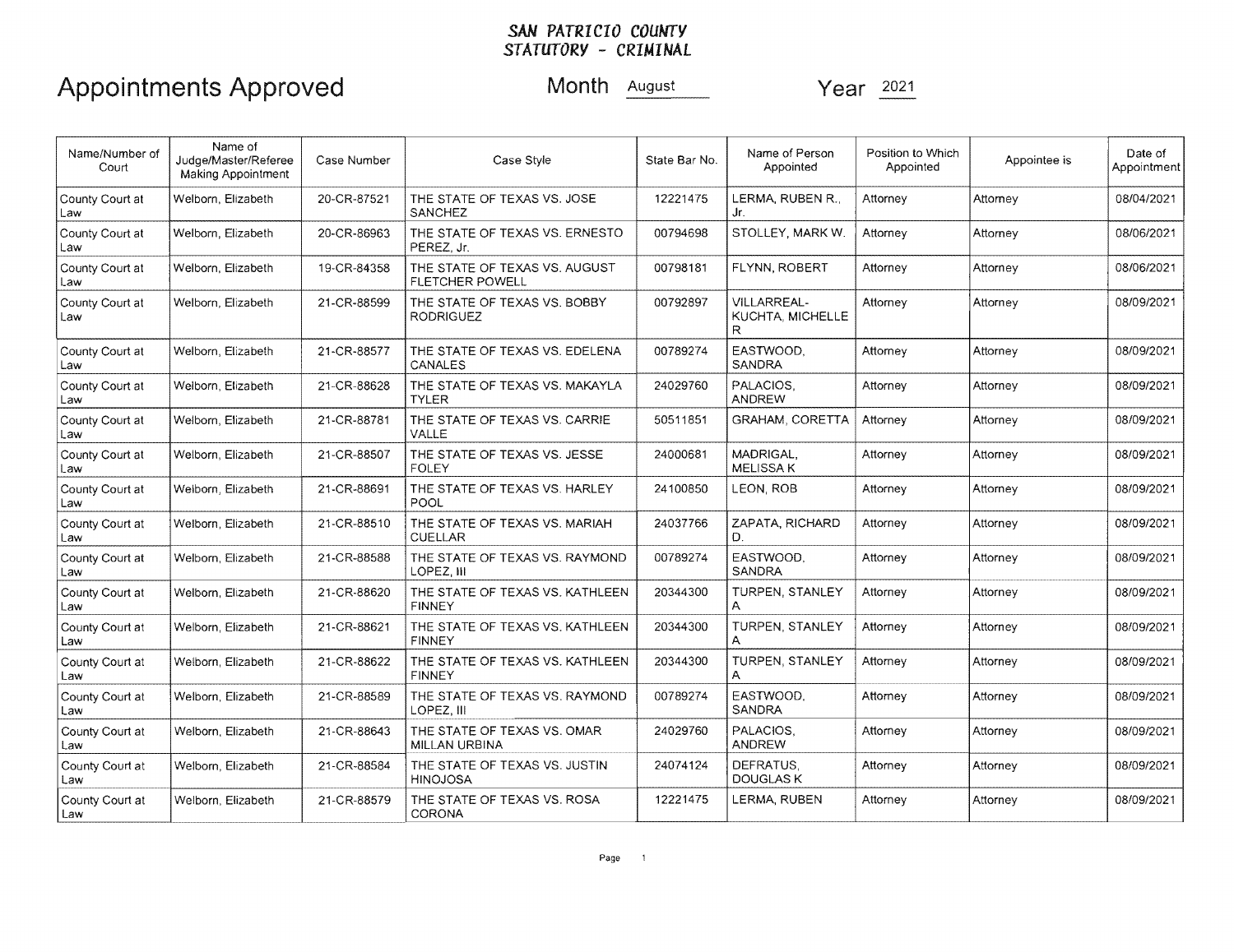# Appointments Approved Month August Year 2021

| Name/Number of<br>Court | Name of<br>Judge/Master/Referee<br>Making Appointment | Case Number | Case Style                                              | State Bar No. | Name of Person<br>Appointed                 | Position to Which<br>Appointed | Appointee is | Date of<br>Appointment |
|-------------------------|-------------------------------------------------------|-------------|---------------------------------------------------------|---------------|---------------------------------------------|--------------------------------|--------------|------------------------|
| County Court at<br>Law  | Welborn, Elizabeth                                    | 20-CR-87521 | THE STATE OF TEXAS VS. JOSE<br><b>SANCHEZ</b>           | 12221475      | LERMA, RUBEN R.,<br>Jr.                     | Attorney                       | Attomey      | 08/04/2021             |
| County Court at<br>Law  | Welborn, Elizabeth                                    | 20-CR-86963 | THE STATE OF TEXAS VS. ERNESTO<br>PEREZ. Jr.            | 00794698      | STOLLEY, MARK W.                            | Attorney                       | Attorney     | 08/06/2021             |
| County Court at<br>Law  | Welborn, Elizabeth                                    | 19-CR-84358 | THE STATE OF TEXAS VS. AUGUST<br><b>FLETCHER POWELL</b> | 00798181      | FLYNN, ROBERT                               | Attorney                       | Attorney     | 08/06/2021             |
| County Court at<br>Law  | Welborn, Elizabeth                                    | 21-CR-88599 | THE STATE OF TEXAS VS. BOBBY<br><b>RODRIGUEZ</b>        | 00792897      | <b>VILLARREAL-</b><br>KUCHTA, MICHELLE<br>R | Attorney                       | Attorney     | 08/09/2021             |
| County Court at<br>Law  | Welborn, Elizabeth                                    | 21-CR-88577 | THE STATE OF TEXAS VS. EDELENA<br>CANALES               | 00789274      | EASTWOOD.<br><b>SANDRA</b>                  | Attorney                       | Attorney     | 08/09/2021             |
| County Court at<br>Law  | Welborn, Elizabeth                                    | 21-CR-88628 | THE STATE OF TEXAS VS. MAKAYLA<br><b>TYLER</b>          | 24029760      | PALACIOS.<br>ANDREW                         | Attorney                       |              | 08/09/2021             |
| County Court at<br>Law  | Welborn, Elizabeth                                    | 21-CR-88781 | THE STATE OF TEXAS VS. CARRIE<br>VALLE                  | 50511851      | GRAHAM, CORETTA                             | Attorney                       | Attorney     | 08/09/2021             |
| County Court at<br>Law  | Welborn, Elizabeth                                    | 21-CR-88507 | THE STATE OF TEXAS VS. JESSE<br><b>FOLEY</b>            | 24000681      | MADRIGAL.<br><b>MELISSA K</b>               | Attorney                       | Attorney     | 08/09/2021             |
| County Court at<br>Law  | Welborn, Elizabeth                                    | 21-CR-88691 | THE STATE OF TEXAS VS. HARLEY<br>POOL                   | 24100850      | LEON, ROB                                   | Attorney                       | Attorney     | 08/09/2021             |
| County Court at<br>Law  | Welborn, Elizabeth                                    | 21-CR-88510 | THE STATE OF TEXAS VS. MARIAH<br><b>CUELLAR</b>         | 24037766      | ZAPATA, RICHARD<br>D.                       | Attorney                       | Attorney     | 08/09/2021             |
| County Court at<br>Law  | Welborn, Elizabeth                                    | 21-CR-88588 | THE STATE OF TEXAS VS. RAYMOND<br>LOPEZ, III            | 00789274      | EASTWOOD.<br>SANDRA                         | Attorney                       | Attorney     | 08/09/2021             |
| County Court at<br>Law  | Welborn, Elizabeth                                    | 21-CR-88620 | THE STATE OF TEXAS VS. KATHLEEN<br><b>FINNEY</b>        | 20344300      | <b>TURPEN, STANLEY</b><br>A                 | Attorney                       | Attorney     | 08/09/2021             |
| County Court at<br>Law  | Welborn, Elizabeth                                    | 21-CR-88621 | THE STATE OF TEXAS VS. KATHLEEN<br><b>FINNEY</b>        | 20344300      | <b>TURPEN, STANLEY</b>                      | Attorney                       | Attorney     | 08/09/2021             |
| County Court at<br>Law  | Welborn, Elizabeth                                    | 21-CR-88622 | THE STATE OF TEXAS VS. KATHLEEN<br><b>FINNEY</b>        | 20344300      | TURPEN, STANLEY<br>А                        | Attorney                       | Attorney     | 08/09/2021             |
| County Court at<br>Law  | Welborn, Elizabeth                                    | 21-CR-88589 | THE STATE OF TEXAS VS. RAYMOND<br>LOPEZ, III            | 00789274      | EASTWOOD.<br><b>SANDRA</b>                  | Attorney                       | Attorney     | 08/09/2021             |
| County Court at<br>Law  | Welborn, Elizabeth                                    | 21-CR-88643 | THE STATE OF TEXAS VS. OMAR<br><b>MILLAN URBINA</b>     | 24029760      | PALACIOS.<br><b>ANDREW</b>                  | Attorney                       | Attorney     | 08/09/2021             |
| County Court at<br>Law  | Welborn, Elizabeth                                    | 21-CR-88584 | THE STATE OF TEXAS VS. JUSTIN<br><b>HINOJOSA</b>        | 24074124      | DEFRATUS,<br>DOUGLAS K                      | Attorney                       | Attorney     | 08/09/2021             |
| County Court at<br>Law  | Welborn, Elizabeth                                    | 21-CR-88579 | THE STATE OF TEXAS VS. ROSA<br><b>CORONA</b>            | 12221475      | LERMA, RUBEN                                | Attorney                       | Attorney     | 08/09/2021             |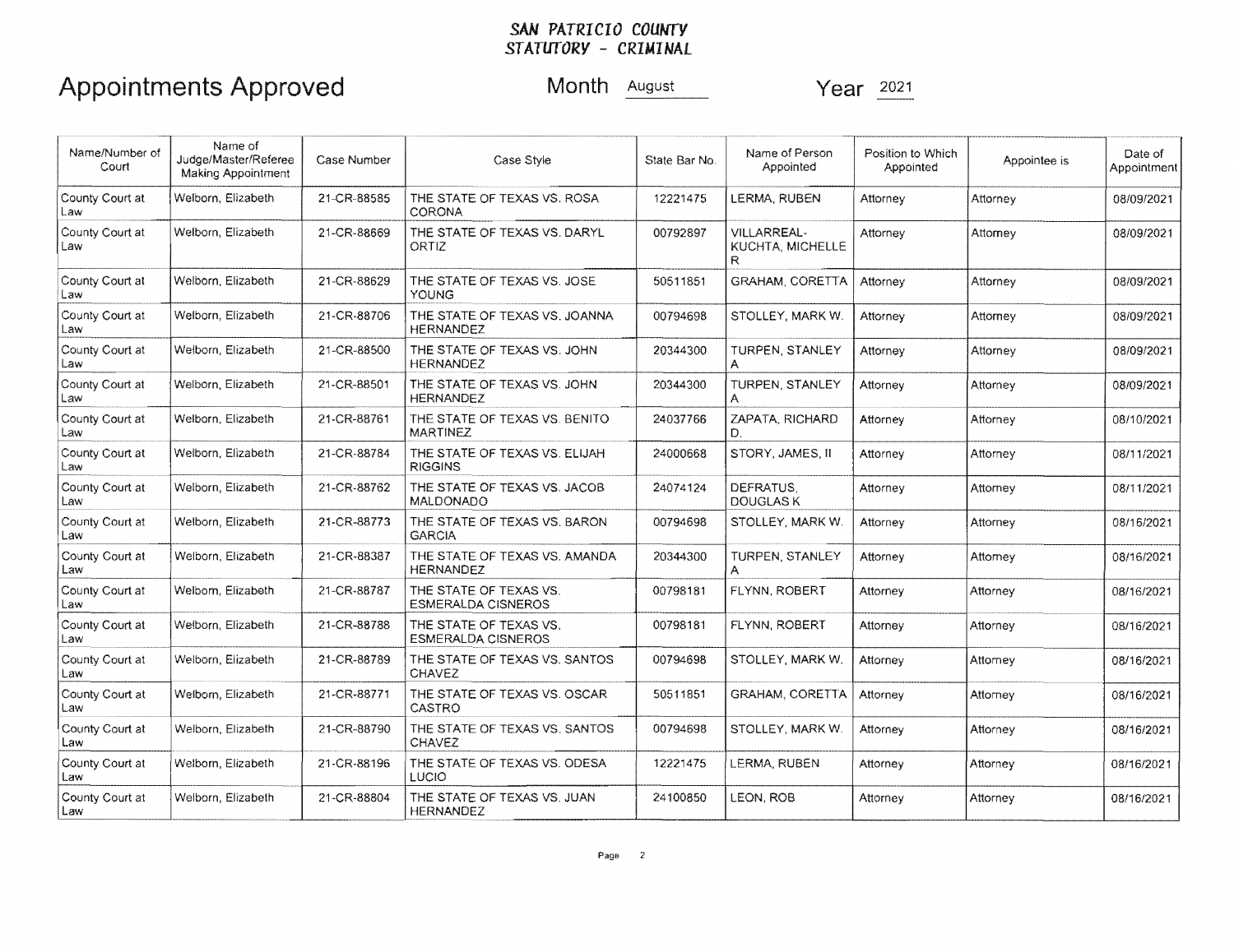## Appointments Approved Month **August** Year  $\frac{2021}{2021}$

| Name/Number of<br>Court | Name of<br>Judge/Master/Referee<br><b>Making Appointment</b> | Case Number | Case Style                                          | State Bar No. | Name of Person<br>Appointed                        | Position to Which<br>Appointed | Appointee is | Date of<br>Appointment |
|-------------------------|--------------------------------------------------------------|-------------|-----------------------------------------------------|---------------|----------------------------------------------------|--------------------------------|--------------|------------------------|
| County Court at<br>Law  | Welborn, Elizabeth                                           | 21-CR-88585 | THE STATE OF TEXAS VS. ROSA<br><b>CORONA</b>        | 12221475      | LERMA, RUBEN                                       | Attorney                       | Attorney     | 08/09/2021             |
| County Court at<br>Law  | Welborn, Elizabeth                                           | 21-CR-88669 | THE STATE OF TEXAS VS. DARYL<br>ORTIZ               | 00792897      | <b>VILLARREAL-</b><br><b>KUCHTA, MICHELLE</b><br>R | Attorney                       | Attorney     | 08/09/2021             |
| County Court at<br>Law  | Welborn, Elizabeth                                           | 21-CR-88629 | THE STATE OF TEXAS VS. JOSE<br>YOUNG                | 50511851      | <b>GRAHAM, CORETTA</b>                             | Attorney                       | Attorney     | 08/09/2021             |
| County Court at<br>Law  | Welborn, Elizabeth                                           | 21-CR-88706 | THE STATE OF TEXAS VS. JOANNA<br><b>HERNANDEZ</b>   | 00794698      | STOLLEY, MARK W.                                   | Attorney                       | Attorney     | 08/09/2021             |
| County Court at<br>Law  | Welborn, Elizabeth                                           | 21-CR-88500 | THE STATE OF TEXAS VS. JOHN<br><b>HERNANDEZ</b>     | 20344300      | TURPEN, STANLEY<br>A                               | Attorney                       | Attorney     | 08/09/2021             |
| County Court at<br>Law  | Welborn, Elizabeth                                           | 21-CR-88501 | THE STATE OF TEXAS VS. JOHN<br><b>HERNANDEZ</b>     | 20344300      | TURPEN, STANLEY<br>A                               | Attorney                       |              | 08/09/2021             |
| County Court at<br>Law  | Welborn, Elizabeth                                           | 21-CR-88761 | THE STATE OF TEXAS VS. BENITO<br><b>MARTINEZ</b>    | 24037766      | ZAPATA, RICHARD<br>D.                              | Attorney                       | Attorney     | 08/10/2021             |
| County Court at<br>Law  | Welborn, Elizabeth                                           | 21-CR-88784 | THE STATE OF TEXAS VS. ELIJAH<br><b>RIGGINS</b>     | 24000668      | STORY, JAMES, II                                   | Attorney                       | Attorney     | 08/11/2021             |
| County Court at<br>Law  | Welborn, Elizabeth                                           | 21-CR-88762 | THE STATE OF TEXAS VS. JACOB<br><b>MALDONADO</b>    | 24074124      | DEFRATUS,<br><b>DOUGLASK</b>                       | Attorney                       | Attorney     | 08/11/2021             |
| County Court at<br>Law  | Welborn, Elizabeth                                           | 21-CR-88773 | THE STATE OF TEXAS VS. BARON<br><b>GARCIA</b>       | 00794698      | STOLLEY, MARK W.                                   | Attorney                       | Attorney     | 08/16/2021             |
| County Court at<br>Law  | Welborn, Elizabeth                                           | 21-CR-88387 | THE STATE OF TEXAS VS. AMANDA<br><b>HERNANDEZ</b>   | 20344300      | <b>TURPEN, STANLEY</b><br>Α                        | Attorney                       | Attorney     | 08/16/2021             |
| County Court at<br>Law  | Welborn, Elizabeth                                           | 21-CR-88787 | THE STATE OF TEXAS VS.<br><b>ESMERALDA CISNEROS</b> | 00798181      | FLYNN, ROBERT                                      | Attorney                       | Attorney     | 08/16/2021             |
| County Court at<br>Law  | Welborn, Elizabeth                                           | 21-CR-88788 | THE STATE OF TEXAS VS.<br><b>ESMERALDA CISNEROS</b> | 00798181      | FLYNN, ROBERT                                      | Attorney                       | Attorney     | 08/16/2021             |
| County Court at<br>Law  | Welborn, Elizabeth                                           | 21-CR-88789 | THE STATE OF TEXAS VS, SANTOS<br><b>CHAVEZ</b>      | 00794698      | STOLLEY, MARK W.                                   | Attorney                       | Attomey      | 08/16/2021             |
| County Court at<br>Law  | Welborn, Elizabeth                                           | 21-CR-88771 | THE STATE OF TEXAS VS. OSCAR<br>CASTRO              | 50511851      | <b>GRAHAM, CORETTA</b>                             | Attorney                       | Attornev     | 08/16/2021             |
| County Court at<br>Law  | Welborn, Elizabeth                                           | 21-CR-88790 | THE STATE OF TEXAS VS. SANTOS<br><b>CHAVEZ</b>      | 00794698      | STOLLEY, MARK W.                                   | Attorney                       | Attornev     | 08/16/2021             |
| County Court at<br>Law  | Welborn, Elizabeth                                           | 21-CR-88196 | THE STATE OF TEXAS VS. ODESA<br>LUCIO               | 12221475      | LERMA, RUBEN                                       | Attorney                       | Attorney     | 08/16/2021             |
| County Court at<br>Law  | Welborn, Elizabeth                                           | 21-CR-88804 | THE STATE OF TEXAS VS. JUAN<br><b>HERNANDEZ</b>     | 24100850      | <b>LEON, ROB</b>                                   | Attorney                       | Attorney     | 08/16/2021             |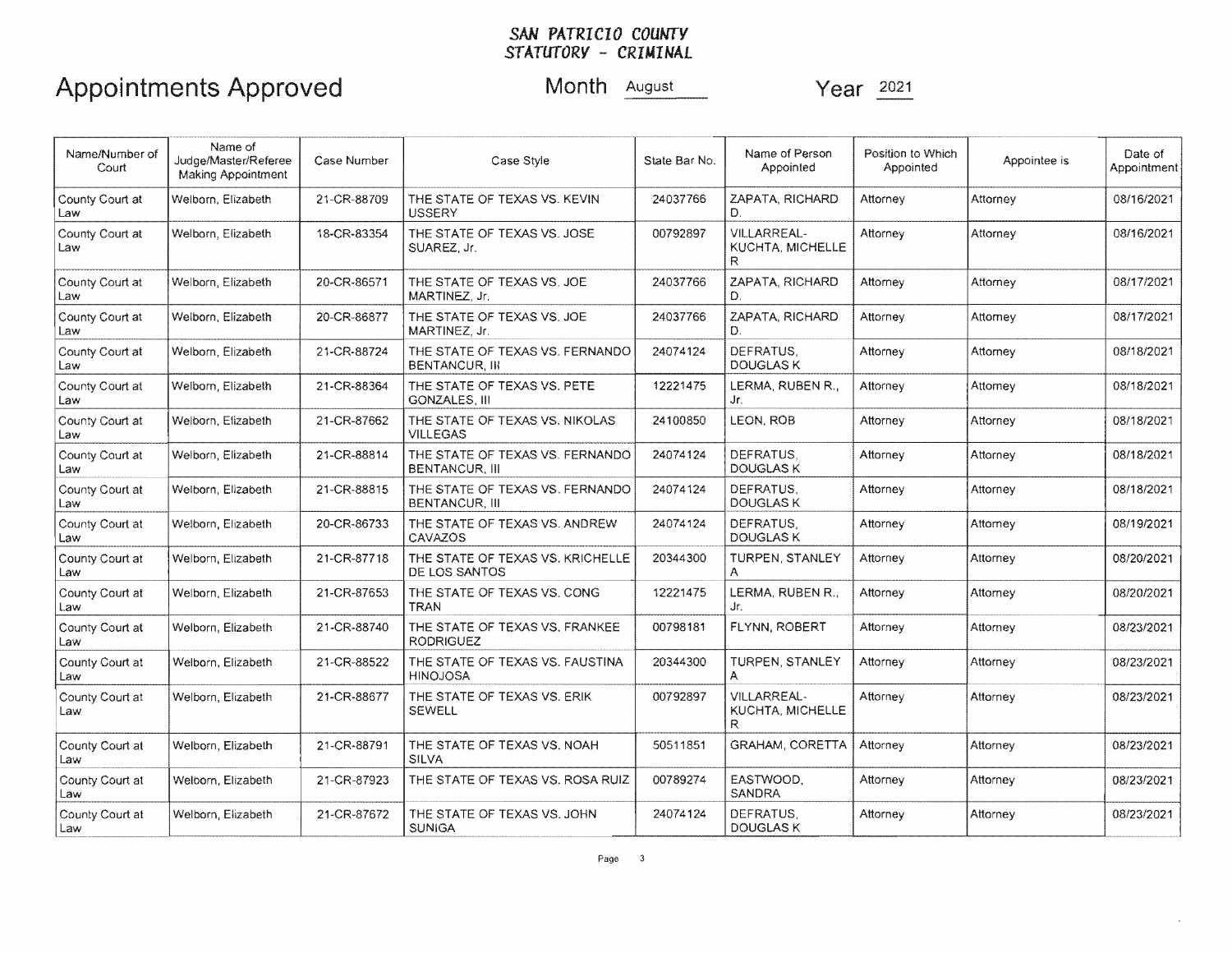# Appointments Approved Month August Year 2021

| Name/Number of<br>Court | Name of<br>Judge/Master/Referee<br>Making Appointment | Case Number | Case Style                                               | Name of Person<br>State Bar No.<br>Appointed |                                      | Position to Which<br>Appointed | Appointee is | Date of<br>Appointment |
|-------------------------|-------------------------------------------------------|-------------|----------------------------------------------------------|----------------------------------------------|--------------------------------------|--------------------------------|--------------|------------------------|
| County Court at<br>Law  | Welborn, Elizabeth                                    | 21-CR-88709 | THE STATE OF TEXAS VS. KEVIN<br><b>USSERY</b>            | 24037766                                     | ZAPATA, RICHARD<br>D.                | Attorney                       | Attorney     | 08/16/2021             |
| County Court at<br>Law  | Welborn, Elizabeth                                    | 18-CR-83354 | THE STATE OF TEXAS VS. JOSE<br>SUAREZ. Jr.               | 00792897                                     | VILLARREAL-<br>KUCHTA, MICHELLE<br>R | Attorney                       | Attorney     | 08/16/2021             |
| County Court at<br>Law  | Welborn, Elizabeth                                    | 20-CR-86571 | THE STATE OF TEXAS VS. JOE<br>MARTINEZ, Jr.              | 24037766                                     | ZAPATA, RICHARD<br>D.                | Attorney                       | Attorney     | 08/17/2021             |
| County Court at<br>Law  | Welborn, Elizabeth                                    | 20-CR-86877 | THE STATE OF TEXAS VS. JOE<br>MARTINEZ, Jr.              | 24037766                                     | ZAPATA, RICHARD<br>D.                | Attorney                       | Attorney     | 08/17/2021             |
| County Court at<br>Law  | Welborn, Elizabeth                                    | 21-CR-88724 | THE STATE OF TEXAS VS. FERNANDO<br><b>BENTANCUR, III</b> | 24074124                                     | DEFRATUS,<br><b>DOUGLASK</b>         | Attorney                       | Attorney     | 08/18/2021             |
| County Court at<br>Law  | Welborn, Elizabeth                                    | 21-CR-88364 | THE STATE OF TEXAS VS. PETE<br><b>GONZALES, III</b>      | 12221475                                     | LERMA, RUBEN R.,<br>Jr.              | Attorney                       | Attomey      | 08/18/2021             |
| County Court at<br>Law  | Welborn, Elizabeth                                    | 21-CR-87662 | THE STATE OF TEXAS VS. NIKOLAS<br><b>VILLEGAS</b>        | 24100850                                     | LEON. ROB                            | Attorney                       | Attorney     | 08/18/2021             |
| County Court at<br>Law  | Welborn, Elizabeth                                    | 21-CR-88814 | THE STATE OF TEXAS VS. FERNANDO<br><b>BENTANCUR. III</b> | 24074124                                     | DEFRATUS.<br><b>DOUGLAS K</b>        | Attorney                       | Attorney     | 08/18/2021             |
| County Court at<br>Law  | Welborn, Elizabeth                                    | 21-CR-88815 | THE STATE OF TEXAS VS. FERNANDO<br><b>BENTANCUR. III</b> | 24074124                                     | DEFRATUS.<br><b>DOUGLAS K</b>        | Attorney                       | Attorney     | 08/18/2021             |
| County Court at<br>Law  | Welborn, Elizabeth                                    | 20-CR-86733 | THE STATE OF TEXAS VS. ANDREW<br>CAVAZOS                 | 24074124                                     | DEFRATUS.<br><b>DOUGLAS K</b>        | Attorney                       | Attorney     | 08/19/2021             |
| County Court at<br>Law  | Welborn, Elizabeth                                    | 21-CR-87718 | THE STATE OF TEXAS VS, KRICHELLE<br>DE LOS SANTOS        | 20344300                                     | TURPEN, STANLEY<br>A                 | Attorney                       | Attorney     | 08/20/2021             |
| County Court at<br>Law  | Welborn, Elizabeth                                    | 21-CR-87653 | THE STATE OF TEXAS VS. CONG<br>TRAN                      | 12221475                                     | LERMA, RUBEN R.,<br>Jr.              | Attorney                       | Attorney     | 08/20/2021             |
| County Court at<br>Law  | Welborn, Elizabeth                                    | 21-CR-88740 | THE STATE OF TEXAS VS. FRANKEE<br><b>RODRIGUEZ</b>       | 00798181                                     | FLYNN, ROBERT                        | Attorney                       | Attorney     | 08/23/2021             |
| County Court at<br>Law  | Welborn. Elizabeth                                    | 21-CR-88522 | THE STATE OF TEXAS VS. FAUSTINA<br><b>HINOJOSA</b>       | 20344300                                     | <b>TURPEN, STANLEY</b><br>A.         | Attorney                       | Attorney     | 08/23/2021             |
| County Court at<br>Law  | Welborn, Elizabeth                                    | 21-CR-88677 | THE STATE OF TEXAS VS. ERIK<br><b>SEWELL</b>             | 00792897                                     | VILLARREAL-<br>KUCHTA, MICHELLE<br>R | Attorney                       | Attorney     | 08/23/2021             |
| County Court at<br>Law  | Welborn, Elizabeth                                    | 21-CR-88791 | THE STATE OF TEXAS VS. NOAH<br>SILVA                     | 50511851                                     | <b>GRAHAM, CORETTA</b>               | Attorney                       | Attorney     | 08/23/2021             |
| County Court at<br>Law  | Welborn, Elizabeth                                    | 21-CR-87923 | THE STATE OF TEXAS VS. ROSA RUIZ                         | 00789274                                     | EASTWOOD,<br><b>SANDRA</b>           | Attorney                       | Attorney     | 08/23/2021             |
| County Court at<br>Law  | Welborn, Elizabeth                                    | 21-CR-87672 | THE STATE OF TEXAS VS. JOHN<br><b>SUNIGA</b>             | 24074124                                     | DEFRATUS.<br><b>DOUGLAS K</b>        | Attorney                       | Attorney     | 08/23/2021             |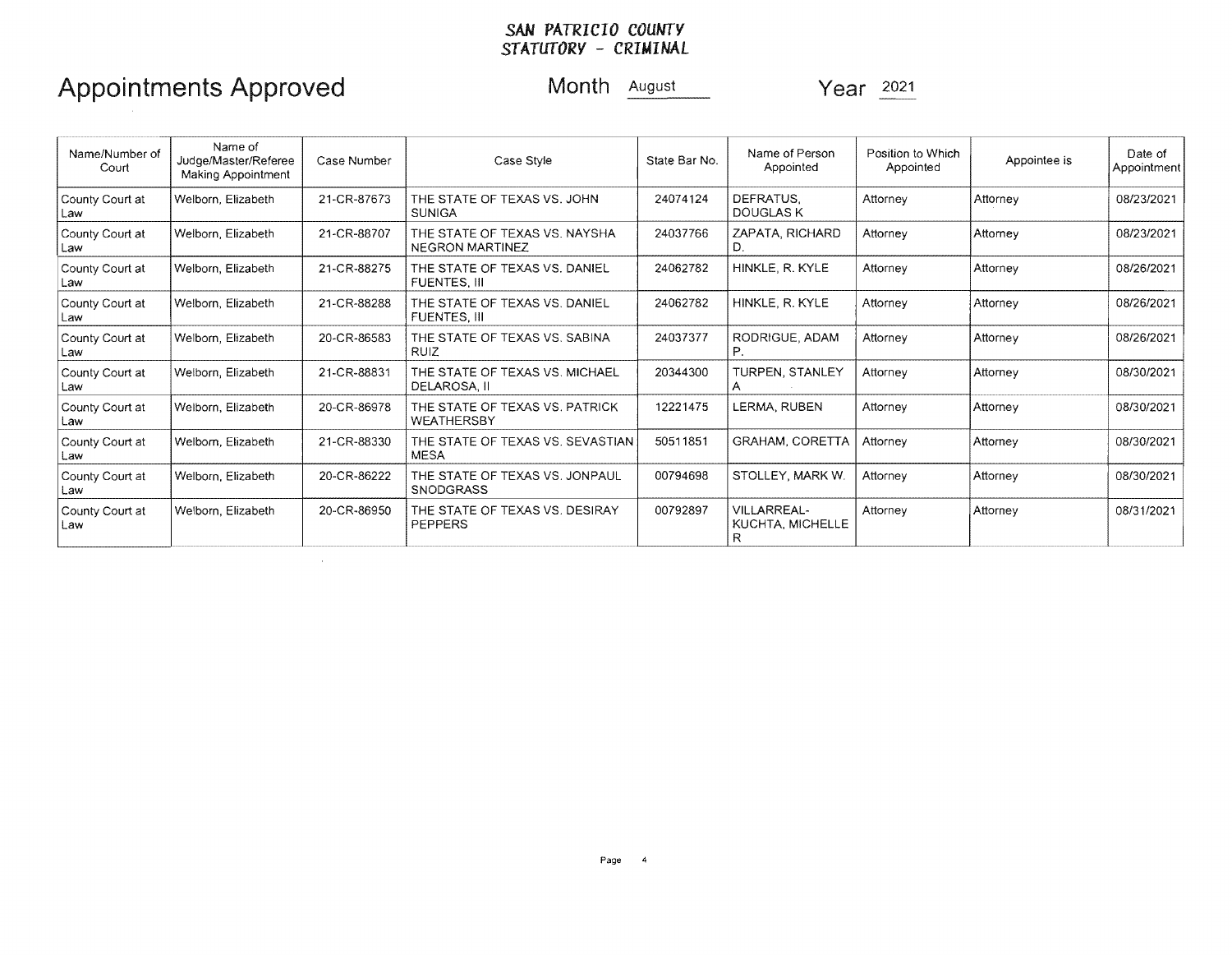## Appointments Approved Month August Year 2021

| Name/Number of<br>Court  | Name of<br>Judge/Master/Referee<br>Making Appointment | Case Number | Case Style                                              | State Bar No. | Name of Person<br>Appointed          | Position to Which<br>Appointed | Appointee is | Date of<br>Appointment |
|--------------------------|-------------------------------------------------------|-------------|---------------------------------------------------------|---------------|--------------------------------------|--------------------------------|--------------|------------------------|
| County Court at<br>Law   | Welborn, Elizabeth                                    | 21-CR-87673 | THE STATE OF TEXAS VS. JOHN<br><b>SUNIGA</b>            | 24074124      | DEFRATUS.<br><b>DOUGLAS K</b>        | Attorney                       | Attorney     | 08/23/2021             |
| County Court at<br>l Law | Welborn, Elizabeth                                    | 21-CR-88707 | THE STATE OF TEXAS VS, NAYSHA<br><b>NEGRON MARTINEZ</b> | 24037766      | ZAPATA, RICHARD<br>D.                | Attorney                       | Attornev     | 08/23/2021             |
| County Court at<br>Law   | Welborn, Elizabeth                                    | 21-CR-88275 | THE STATE OF TEXAS VS. DANIEL<br>FUENTES. III           | 24062782      | HINKLE, R. KYLE                      | Attorney                       | Attorney     | 08/26/2021             |
| County Court at<br>Law   | Welborn, Elizabeth                                    | 21-CR-88288 | THE STATE OF TEXAS VS. DANIEL<br><b>FUENTES, III</b>    | 24062782      | HINKLE, R. KYLE                      | Attorney                       | Attorney     | 08/26/2021             |
| County Court at<br>Law   | Welborn, Elizabeth                                    | 20-CR-86583 | THE STATE OF TEXAS VS. SABINA<br><b>RUIZ</b>            | 24037377      | RODRIGUE, ADAM                       | Attorney                       | Attorney     | 08/26/2021             |
| County Court at<br>Law   | Welborn, Elizabeth                                    | 21-CR-88831 | THE STATE OF TEXAS VS. MICHAEL<br>DELAROSA. II          | 20344300      | <b>TURPEN, STANLEY</b>               | Attorney                       | Attorney     | 08/30/2021             |
| County Court at<br>Law   | Welborn, Elizabeth                                    | 20-CR-86978 | THE STATE OF TEXAS VS. PATRICK<br><b>WEATHERSBY</b>     | 12221475      | LERMA, RUBEN                         | Attorney                       | Attorney     | 08/30/2021             |
| County Court at<br>Law   | Welbom, Elizabeth                                     | 21-CR-88330 | THE STATE OF TEXAS VS. SEVASTIAN<br><b>MESA</b>         | 50511851      | GRAHAM, CORETTA                      | Attorney                       | Attorney     | 08/30/2021             |
| County Court at<br>Law   | Welborn, Elizabeth                                    | 20-CR-86222 | THE STATE OF TEXAS VS. JONPAUL<br><b>SNODGRASS</b>      | 00794698      | STOLLEY, MARK W.                     | Attorney                       | Attorney     | 08/30/2021             |
| County Court at<br>Law   | Welborn, Elizabeth                                    | 20-CR-86950 | THE STATE OF TEXAS VS, DESIRAY<br>PEPPERS               | 00792897      | VILLARREAL-<br>KUCHTA, MICHELLE<br>R | Attorney                       | Attorney     | 08/31/2021             |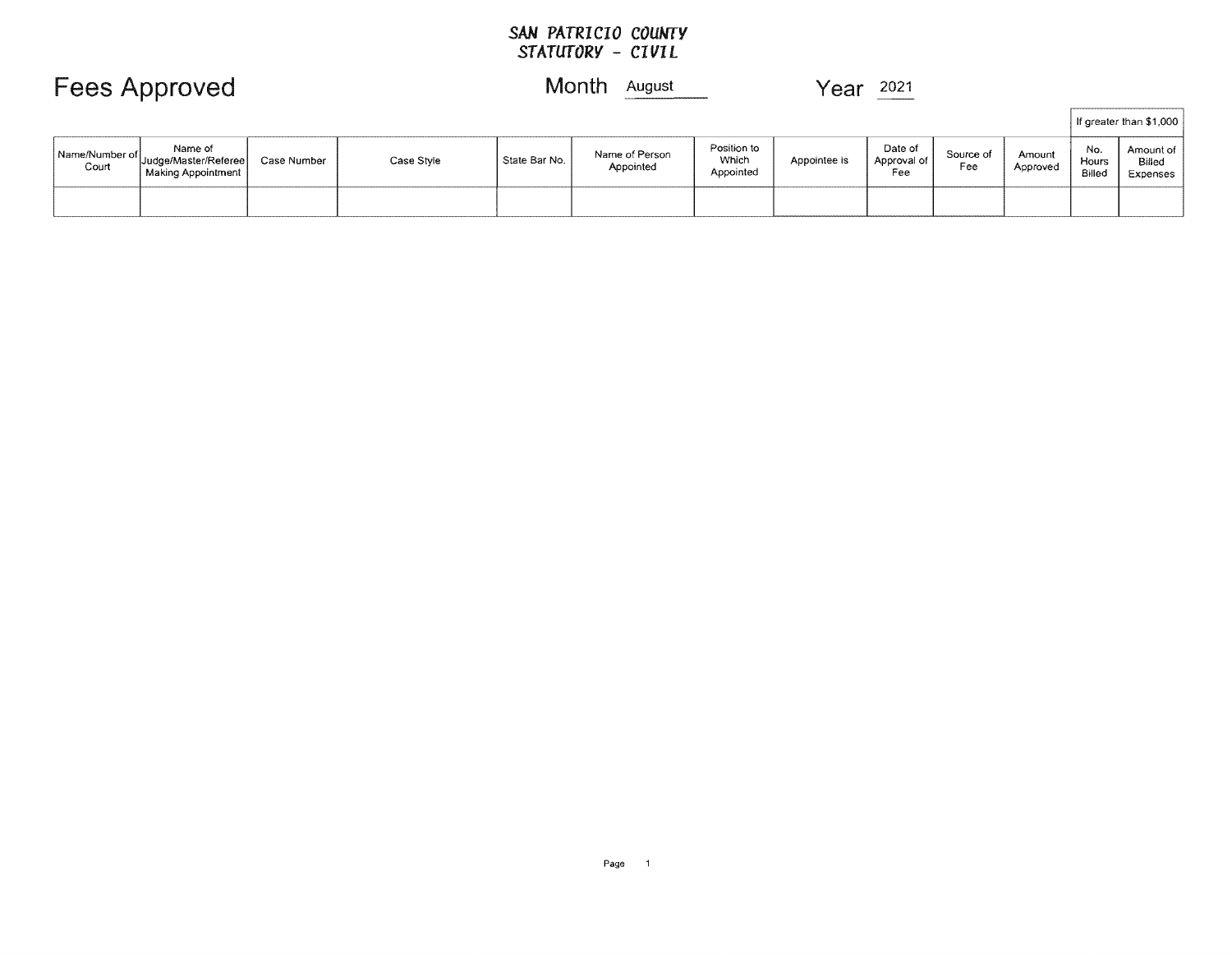## **Fees Approved Month <u>August</u> Year 2021**

|                         |                                                                   |             |            |               |                             |                                   |              |                               | If greater than \$1,000 |                    |                        |                                   |
|-------------------------|-------------------------------------------------------------------|-------------|------------|---------------|-----------------------------|-----------------------------------|--------------|-------------------------------|-------------------------|--------------------|------------------------|-----------------------------------|
| Name/Number of<br>Court | Name of<br>"  Judge/Master/Referee  <br><b>Making Appointment</b> | Case Number | Case Style | State Bar No. | Name of Person<br>Appointed | Position to<br>Which<br>Appointed | Appointee is | Date of<br>Approval of<br>Fee | Source of<br>Fee        | Amount<br>Approved | No.<br>Hours<br>Billec | Amount of  <br>Billed<br>Expenses |
|                         |                                                                   |             |            |               |                             |                                   |              |                               |                         |                    |                        |                                   |